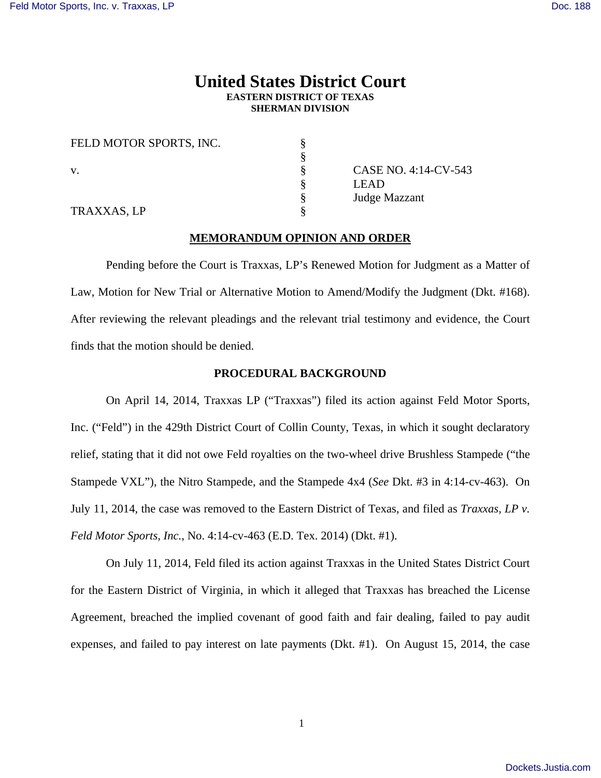# **United States District Court EASTERN DISTRICT OF TEXAS SHERMAN DIVISION**

| FELD MOTOR SPORTS, INC. |                      |
|-------------------------|----------------------|
|                         |                      |
| V.                      | CASE NO. 4:14-CV-543 |
|                         | <b>LEAD</b>          |
|                         | Judge Mazzant        |
| TRAXXAS, LP             |                      |

# **MEMORANDUM OPINION AND ORDER**

 Pending before the Court is Traxxas, LP's Renewed Motion for Judgment as a Matter of Law, Motion for New Trial or Alternative Motion to Amend/Modify the Judgment (Dkt. #168). After reviewing the relevant pleadings and the relevant trial testimony and evidence, the Court finds that the motion should be denied.

### **PROCEDURAL BACKGROUND**

 On April 14, 2014, Traxxas LP ("Traxxas") filed its action against Feld Motor Sports, Inc. ("Feld") in the 429th District Court of Collin County, Texas, in which it sought declaratory relief, stating that it did not owe Feld royalties on the two-wheel drive Brushless Stampede ("the Stampede VXL"), the Nitro Stampede, and the Stampede 4x4 (*See* Dkt. #3 in 4:14-cv-463). On July 11, 2014, the case was removed to the Eastern District of Texas, and filed as *Traxxas, LP v. Feld Motor Sports, Inc.*, No. 4:14-cv-463 (E.D. Tex. 2014) (Dkt. #1).

 On July 11, 2014, Feld filed its action against Traxxas in the United States District Court for the Eastern District of Virginia, in which it alleged that Traxxas has breached the License Agreement, breached the implied covenant of good faith and fair dealing, failed to pay audit expenses, and failed to pay interest on late payments (Dkt. #1). On August 15, 2014, the case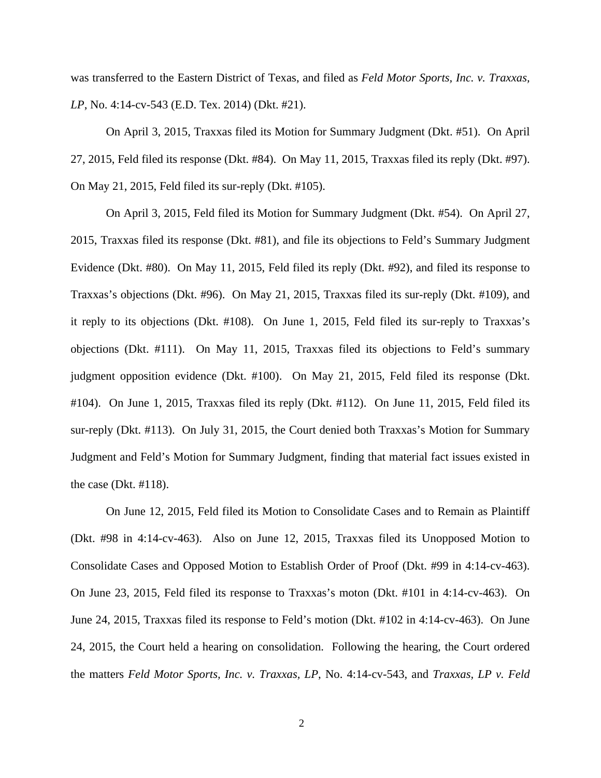was transferred to the Eastern District of Texas, and filed as *Feld Motor Sports, Inc. v. Traxxas, LP*, No. 4:14-cv-543 (E.D. Tex. 2014) (Dkt. #21).

 On April 3, 2015, Traxxas filed its Motion for Summary Judgment (Dkt. #51). On April 27, 2015, Feld filed its response (Dkt. #84). On May 11, 2015, Traxxas filed its reply (Dkt. #97). On May 21, 2015, Feld filed its sur-reply (Dkt. #105).

 On April 3, 2015, Feld filed its Motion for Summary Judgment (Dkt. #54). On April 27, 2015, Traxxas filed its response (Dkt. #81), and file its objections to Feld's Summary Judgment Evidence (Dkt. #80). On May 11, 2015, Feld filed its reply (Dkt. #92), and filed its response to Traxxas's objections (Dkt. #96). On May 21, 2015, Traxxas filed its sur-reply (Dkt. #109), and it reply to its objections (Dkt. #108). On June 1, 2015, Feld filed its sur-reply to Traxxas's objections (Dkt. #111). On May 11, 2015, Traxxas filed its objections to Feld's summary judgment opposition evidence (Dkt. #100). On May 21, 2015, Feld filed its response (Dkt. #104). On June 1, 2015, Traxxas filed its reply (Dkt. #112). On June 11, 2015, Feld filed its sur-reply (Dkt. #113). On July 31, 2015, the Court denied both Traxxas's Motion for Summary Judgment and Feld's Motion for Summary Judgment, finding that material fact issues existed in the case (Dkt. #118).

 On June 12, 2015, Feld filed its Motion to Consolidate Cases and to Remain as Plaintiff (Dkt. #98 in 4:14-cv-463). Also on June 12, 2015, Traxxas filed its Unopposed Motion to Consolidate Cases and Opposed Motion to Establish Order of Proof (Dkt. #99 in 4:14-cv-463). On June 23, 2015, Feld filed its response to Traxxas's moton (Dkt. #101 in 4:14-cv-463). On June 24, 2015, Traxxas filed its response to Feld's motion (Dkt. #102 in 4:14-cv-463). On June 24, 2015, the Court held a hearing on consolidation. Following the hearing, the Court ordered the matters *Feld Motor Sports, Inc. v. Traxxas, LP*, No. 4:14-cv-543, and *Traxxas, LP v. Feld*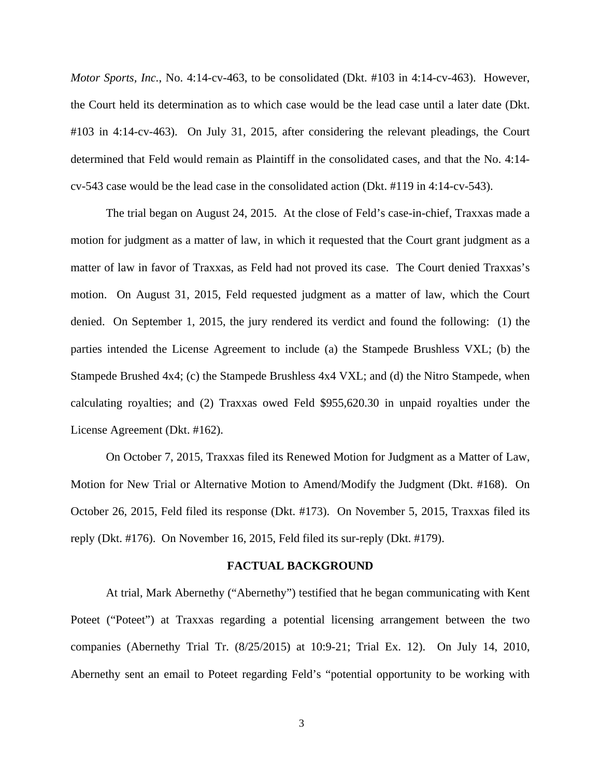*Motor Sports, Inc.*, No. 4:14-cv-463, to be consolidated (Dkt. #103 in 4:14-cv-463). However, the Court held its determination as to which case would be the lead case until a later date (Dkt. #103 in 4:14-cv-463). On July 31, 2015, after considering the relevant pleadings, the Court determined that Feld would remain as Plaintiff in the consolidated cases, and that the No. 4:14 cv-543 case would be the lead case in the consolidated action (Dkt. #119 in 4:14-cv-543).

 The trial began on August 24, 2015. At the close of Feld's case-in-chief, Traxxas made a motion for judgment as a matter of law, in which it requested that the Court grant judgment as a matter of law in favor of Traxxas, as Feld had not proved its case. The Court denied Traxxas's motion. On August 31, 2015, Feld requested judgment as a matter of law, which the Court denied. On September 1, 2015, the jury rendered its verdict and found the following: (1) the parties intended the License Agreement to include (a) the Stampede Brushless VXL; (b) the Stampede Brushed 4x4; (c) the Stampede Brushless 4x4 VXL; and (d) the Nitro Stampede, when calculating royalties; and (2) Traxxas owed Feld \$955,620.30 in unpaid royalties under the License Agreement (Dkt. #162).

 On October 7, 2015, Traxxas filed its Renewed Motion for Judgment as a Matter of Law, Motion for New Trial or Alternative Motion to Amend/Modify the Judgment (Dkt. #168). On October 26, 2015, Feld filed its response (Dkt. #173). On November 5, 2015, Traxxas filed its reply (Dkt. #176). On November 16, 2015, Feld filed its sur-reply (Dkt. #179).

#### **FACTUAL BACKGROUND**

 At trial, Mark Abernethy ("Abernethy") testified that he began communicating with Kent Poteet ("Poteet") at Traxxas regarding a potential licensing arrangement between the two companies (Abernethy Trial Tr. (8/25/2015) at 10:9-21; Trial Ex. 12). On July 14, 2010, Abernethy sent an email to Poteet regarding Feld's "potential opportunity to be working with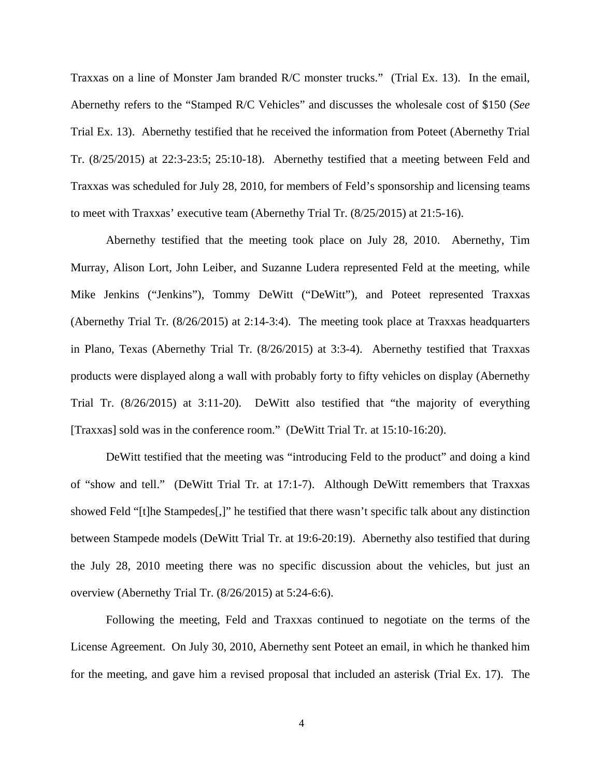Traxxas on a line of Monster Jam branded R/C monster trucks." (Trial Ex. 13). In the email, Abernethy refers to the "Stamped R/C Vehicles" and discusses the wholesale cost of \$150 (*See*  Trial Ex. 13). Abernethy testified that he received the information from Poteet (Abernethy Trial Tr. (8/25/2015) at 22:3-23:5; 25:10-18). Abernethy testified that a meeting between Feld and Traxxas was scheduled for July 28, 2010, for members of Feld's sponsorship and licensing teams to meet with Traxxas' executive team (Abernethy Trial Tr. (8/25/2015) at 21:5-16).

 Abernethy testified that the meeting took place on July 28, 2010. Abernethy, Tim Murray, Alison Lort, John Leiber, and Suzanne Ludera represented Feld at the meeting, while Mike Jenkins ("Jenkins"), Tommy DeWitt ("DeWitt"), and Poteet represented Traxxas (Abernethy Trial Tr. (8/26/2015) at 2:14-3:4). The meeting took place at Traxxas headquarters in Plano, Texas (Abernethy Trial Tr. (8/26/2015) at 3:3-4). Abernethy testified that Traxxas products were displayed along a wall with probably forty to fifty vehicles on display (Abernethy Trial Tr. (8/26/2015) at 3:11-20). DeWitt also testified that "the majority of everything [Traxxas] sold was in the conference room." (DeWitt Trial Tr. at 15:10-16:20).

 DeWitt testified that the meeting was "introducing Feld to the product" and doing a kind of "show and tell." (DeWitt Trial Tr. at 17:1-7). Although DeWitt remembers that Traxxas showed Feld "[t]he Stampedes[,]" he testified that there wasn't specific talk about any distinction between Stampede models (DeWitt Trial Tr. at 19:6-20:19). Abernethy also testified that during the July 28, 2010 meeting there was no specific discussion about the vehicles, but just an overview (Abernethy Trial Tr. (8/26/2015) at 5:24-6:6).

 Following the meeting, Feld and Traxxas continued to negotiate on the terms of the License Agreement. On July 30, 2010, Abernethy sent Poteet an email, in which he thanked him for the meeting, and gave him a revised proposal that included an asterisk (Trial Ex. 17). The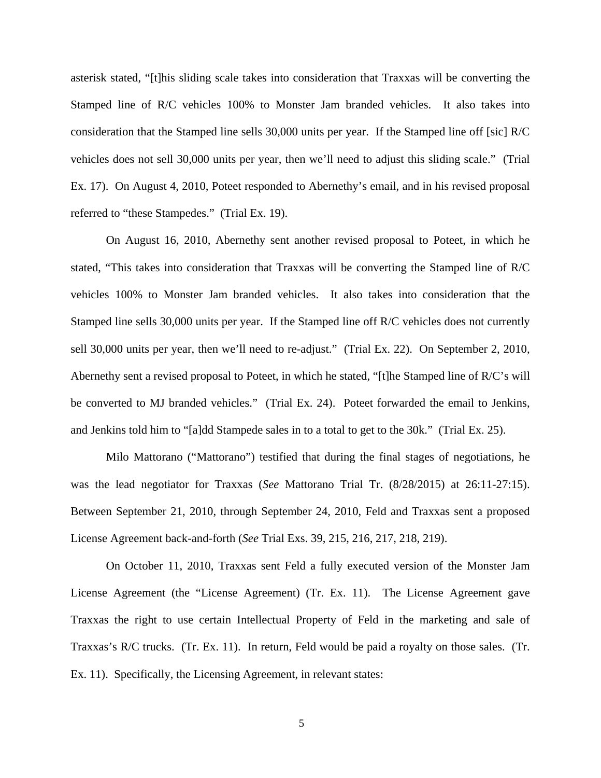asterisk stated, "[t]his sliding scale takes into consideration that Traxxas will be converting the Stamped line of R/C vehicles 100% to Monster Jam branded vehicles. It also takes into consideration that the Stamped line sells 30,000 units per year. If the Stamped line off [sic] R/C vehicles does not sell 30,000 units per year, then we'll need to adjust this sliding scale." (Trial Ex. 17). On August 4, 2010, Poteet responded to Abernethy's email, and in his revised proposal referred to "these Stampedes." (Trial Ex. 19).

 On August 16, 2010, Abernethy sent another revised proposal to Poteet, in which he stated, "This takes into consideration that Traxxas will be converting the Stamped line of R/C vehicles 100% to Monster Jam branded vehicles. It also takes into consideration that the Stamped line sells 30,000 units per year. If the Stamped line off R/C vehicles does not currently sell 30,000 units per year, then we'll need to re-adjust." (Trial Ex. 22). On September 2, 2010, Abernethy sent a revised proposal to Poteet, in which he stated, "[t]he Stamped line of R/C's will be converted to MJ branded vehicles." (Trial Ex. 24). Poteet forwarded the email to Jenkins, and Jenkins told him to "[a]dd Stampede sales in to a total to get to the 30k." (Trial Ex. 25).

 Milo Mattorano ("Mattorano") testified that during the final stages of negotiations, he was the lead negotiator for Traxxas (*See* Mattorano Trial Tr. (8/28/2015) at 26:11-27:15). Between September 21, 2010, through September 24, 2010, Feld and Traxxas sent a proposed License Agreement back-and-forth (*See* Trial Exs. 39, 215, 216, 217, 218, 219).

On October 11, 2010, Traxxas sent Feld a fully executed version of the Monster Jam License Agreement (the "License Agreement) (Tr. Ex. 11). The License Agreement gave Traxxas the right to use certain Intellectual Property of Feld in the marketing and sale of Traxxas's R/C trucks. (Tr. Ex. 11). In return, Feld would be paid a royalty on those sales. (Tr. Ex. 11). Specifically, the Licensing Agreement, in relevant states: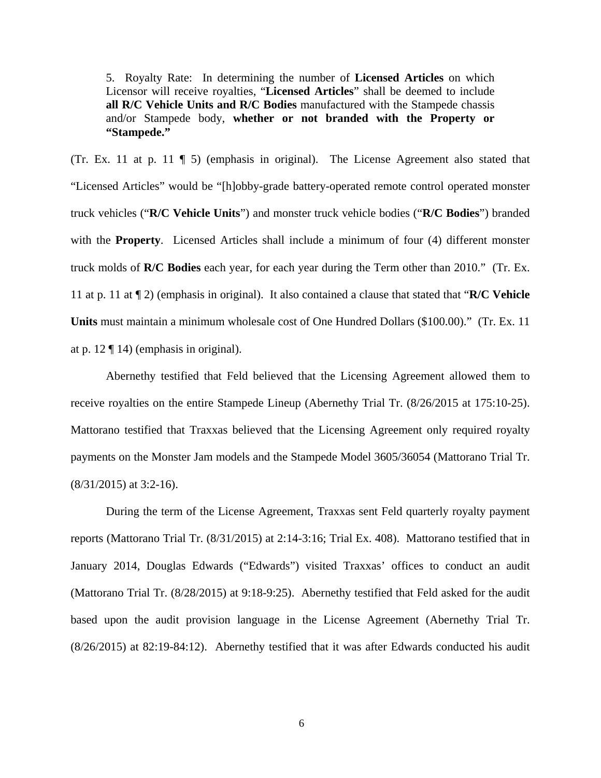5. Royalty Rate: In determining the number of **Licensed Articles** on which Licensor will receive royalties, "**Licensed Articles**" shall be deemed to include **all R/C Vehicle Units and R/C Bodies** manufactured with the Stampede chassis and/or Stampede body, **whether or not branded with the Property or "Stampede."** 

(Tr. Ex. 11 at p. 11 ¶ 5) (emphasis in original). The License Agreement also stated that "Licensed Articles" would be "[h]obby-grade battery-operated remote control operated monster truck vehicles ("**R/C Vehicle Units**") and monster truck vehicle bodies ("**R/C Bodies**") branded with the **Property**. Licensed Articles shall include a minimum of four (4) different monster truck molds of **R/C Bodies** each year, for each year during the Term other than 2010." (Tr. Ex. 11 at p. 11 at ¶ 2) (emphasis in original). It also contained a clause that stated that "**R/C Vehicle Units** must maintain a minimum wholesale cost of One Hundred Dollars (\$100.00)." (Tr. Ex. 11 at p. 12 ¶ 14) (emphasis in original).

 Abernethy testified that Feld believed that the Licensing Agreement allowed them to receive royalties on the entire Stampede Lineup (Abernethy Trial Tr. (8/26/2015 at 175:10-25). Mattorano testified that Traxxas believed that the Licensing Agreement only required royalty payments on the Monster Jam models and the Stampede Model 3605/36054 (Mattorano Trial Tr. (8/31/2015) at 3:2-16).

 During the term of the License Agreement, Traxxas sent Feld quarterly royalty payment reports (Mattorano Trial Tr. (8/31/2015) at 2:14-3:16; Trial Ex. 408). Mattorano testified that in January 2014, Douglas Edwards ("Edwards") visited Traxxas' offices to conduct an audit (Mattorano Trial Tr. (8/28/2015) at 9:18-9:25). Abernethy testified that Feld asked for the audit based upon the audit provision language in the License Agreement (Abernethy Trial Tr. (8/26/2015) at 82:19-84:12). Abernethy testified that it was after Edwards conducted his audit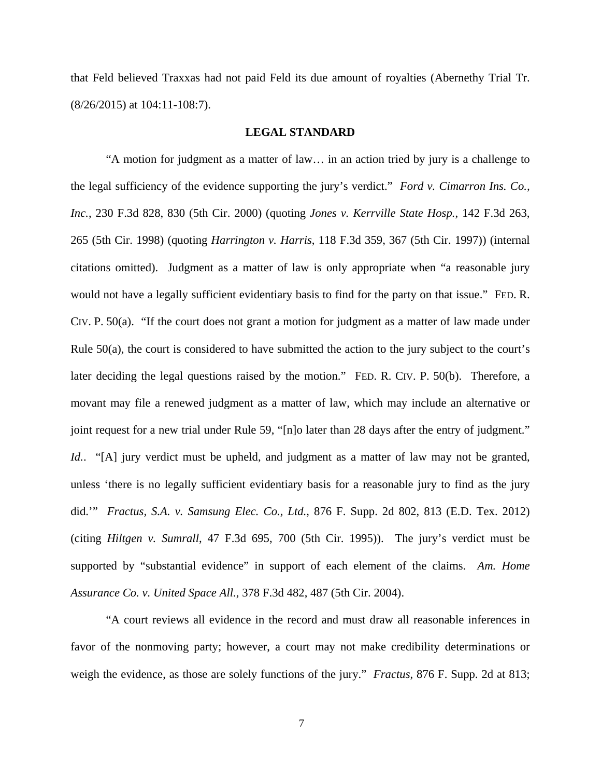that Feld believed Traxxas had not paid Feld its due amount of royalties (Abernethy Trial Tr. (8/26/2015) at 104:11-108:7).

# **LEGAL STANDARD**

"A motion for judgment as a matter of law… in an action tried by jury is a challenge to the legal sufficiency of the evidence supporting the jury's verdict." *Ford v. Cimarron Ins. Co., Inc.*, 230 F.3d 828, 830 (5th Cir. 2000) (quoting *Jones v. Kerrville State Hosp.*, 142 F.3d 263, 265 (5th Cir. 1998) (quoting *Harrington v. Harris*, 118 F.3d 359, 367 (5th Cir. 1997)) (internal citations omitted). Judgment as a matter of law is only appropriate when "a reasonable jury would not have a legally sufficient evidentiary basis to find for the party on that issue." FED. R. CIV. P. 50(a). "If the court does not grant a motion for judgment as a matter of law made under Rule 50(a), the court is considered to have submitted the action to the jury subject to the court's later deciding the legal questions raised by the motion." FED. R. CIV. P. 50(b). Therefore, a movant may file a renewed judgment as a matter of law, which may include an alternative or joint request for a new trial under Rule 59, "[n]o later than 28 days after the entry of judgment." *Id..* "[A] jury verdict must be upheld, and judgment as a matter of law may not be granted, unless 'there is no legally sufficient evidentiary basis for a reasonable jury to find as the jury did.'" *Fractus, S.A. v. Samsung Elec. Co., Ltd.*, 876 F. Supp. 2d 802, 813 (E.D. Tex. 2012) (citing *Hiltgen v. Sumrall*, 47 F.3d 695, 700 (5th Cir. 1995)). The jury's verdict must be supported by "substantial evidence" in support of each element of the claims. *Am. Home Assurance Co. v. United Space All.*, 378 F.3d 482, 487 (5th Cir. 2004).

 "A court reviews all evidence in the record and must draw all reasonable inferences in favor of the nonmoving party; however, a court may not make credibility determinations or weigh the evidence, as those are solely functions of the jury." *Fractus*, 876 F. Supp. 2d at 813;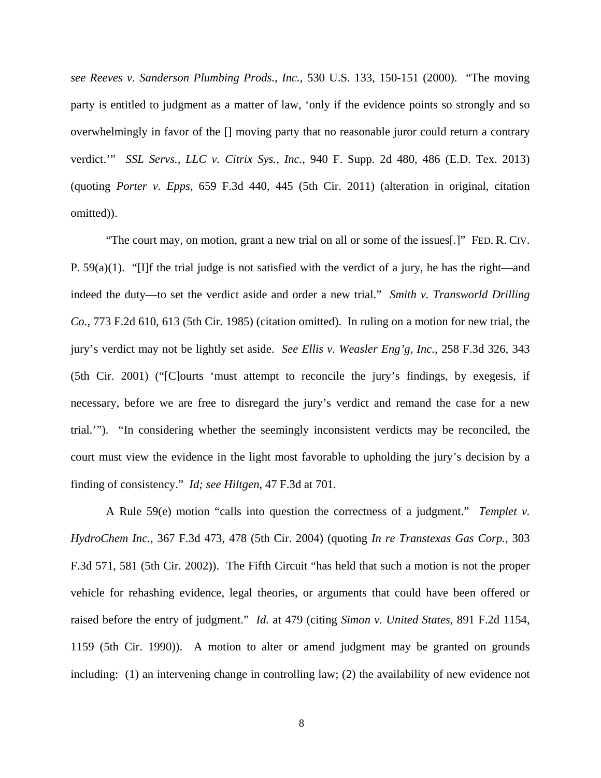*see Reeves v. Sanderson Plumbing Prods., Inc.*, 530 U.S. 133, 150-151 (2000). "The moving party is entitled to judgment as a matter of law, 'only if the evidence points so strongly and so overwhelmingly in favor of the [] moving party that no reasonable juror could return a contrary verdict.'" *SSL Servs., LLC v. Citrix Sys., Inc.*, 940 F. Supp. 2d 480, 486 (E.D. Tex. 2013) (quoting *Porter v. Epps*, 659 F.3d 440, 445 (5th Cir. 2011) (alteration in original, citation omitted)).

 "The court may, on motion, grant a new trial on all or some of the issues[.]" FED. R. CIV. P. 59(a)(1). "[I]f the trial judge is not satisfied with the verdict of a jury, he has the right—and indeed the duty—to set the verdict aside and order a new trial." *Smith v. Transworld Drilling Co.*, 773 F.2d 610, 613 (5th Cir. 1985) (citation omitted). In ruling on a motion for new trial, the jury's verdict may not be lightly set aside. *See Ellis v. Weasler Eng'g, Inc.*, 258 F.3d 326, 343 (5th Cir. 2001) ("[C]ourts 'must attempt to reconcile the jury's findings, by exegesis, if necessary, before we are free to disregard the jury's verdict and remand the case for a new trial.'"). "In considering whether the seemingly inconsistent verdicts may be reconciled, the court must view the evidence in the light most favorable to upholding the jury's decision by a finding of consistency." *Id; see Hiltgen*, 47 F.3d at 701*.* 

A Rule 59(e) motion "calls into question the correctness of a judgment." *Templet v. HydroChem Inc.*, 367 F.3d 473, 478 (5th Cir. 2004) (quoting *In re Transtexas Gas Corp.*, 303 F.3d 571, 581 (5th Cir. 2002)). The Fifth Circuit "has held that such a motion is not the proper vehicle for rehashing evidence, legal theories, or arguments that could have been offered or raised before the entry of judgment." *Id.* at 479 (citing *Simon v. United States*, 891 F.2d 1154, 1159 (5th Cir. 1990)). A motion to alter or amend judgment may be granted on grounds including: (1) an intervening change in controlling law; (2) the availability of new evidence not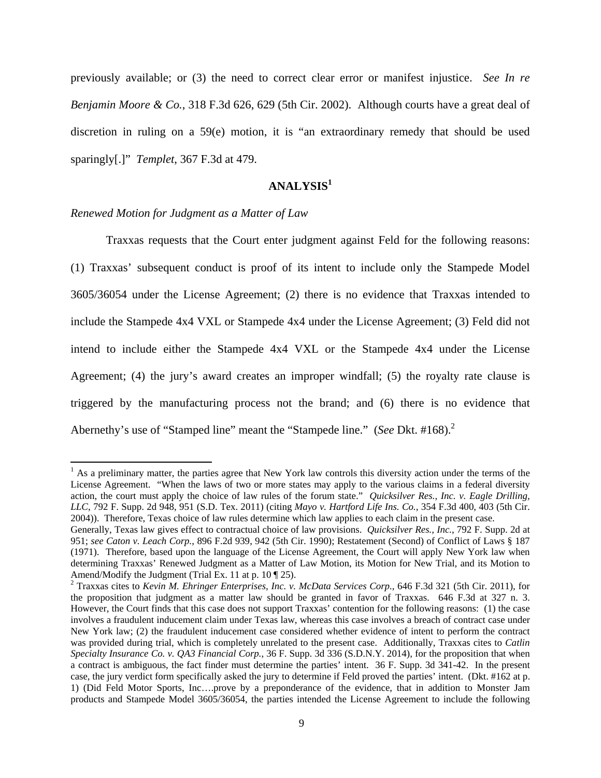previously available; or (3) the need to correct clear error or manifest injustice. *See In re Benjamin Moore & Co.*, 318 F.3d 626, 629 (5th Cir. 2002). Although courts have a great deal of discretion in ruling on a 59(e) motion, it is "an extraordinary remedy that should be used sparingly[.]" *Templet*, 367 F.3d at 479.

# **ANALYSIS<sup>1</sup>**

### *Renewed Motion for Judgment as a Matter of Law*

 Traxxas requests that the Court enter judgment against Feld for the following reasons: (1) Traxxas' subsequent conduct is proof of its intent to include only the Stampede Model 3605/36054 under the License Agreement; (2) there is no evidence that Traxxas intended to include the Stampede 4x4 VXL or Stampede 4x4 under the License Agreement; (3) Feld did not intend to include either the Stampede 4x4 VXL or the Stampede 4x4 under the License Agreement; (4) the jury's award creates an improper windfall; (5) the royalty rate clause is triggered by the manufacturing process not the brand; and (6) there is no evidence that Abernethy's use of "Stamped line" meant the "Stampede line." (*See Dkt.* #168).<sup>2</sup>

<sup>&</sup>lt;sup>1</sup> As a preliminary matter, the parties agree that New York law controls this diversity action under the terms of the License Agreement. "When the laws of two or more states may apply to the various claims in a federal diversity action, the court must apply the choice of law rules of the forum state." *Quicksilver Res., Inc. v. Eagle Drilling, LLC*, 792 F. Supp. 2d 948, 951 (S.D. Tex. 2011) (citing *Mayo v. Hartford Life Ins. Co.*, 354 F.3d 400, 403 (5th Cir. 2004)). Therefore, Texas choice of law rules determine which law applies to each claim in the present case.

Generally, Texas law gives effect to contractual choice of law provisions. *Quicksilver Res., Inc.*, 792 F. Supp. 2d at 951; *see Caton v. Leach Corp.*, 896 F.2d 939, 942 (5th Cir. 1990); Restatement (Second) of Conflict of Laws § 187 (1971). Therefore, based upon the language of the License Agreement, the Court will apply New York law when determining Traxxas' Renewed Judgment as a Matter of Law Motion, its Motion for New Trial, and its Motion to Amend/Modify the Judgment (Trial Ex. 11 at p.  $10 \sqrt{25}$ ).

<sup>2</sup> Traxxas cites to *Kevin M. Ehringer Enterprises, Inc. v. McData Services Corp.*, 646 F.3d 321 (5th Cir. 2011), for the proposition that judgment as a matter law should be granted in favor of Traxxas. 646 F.3d at 327 n. 3. However, the Court finds that this case does not support Traxxas' contention for the following reasons: (1) the case involves a fraudulent inducement claim under Texas law, whereas this case involves a breach of contract case under New York law; (2) the fraudulent inducement case considered whether evidence of intent to perform the contract was provided during trial, which is completely unrelated to the present case. Additionally, Traxxas cites to *Catlin Specialty Insurance Co. v. QA3 Financial Corp.*, 36 F. Supp. 3d 336 (S.D.N.Y. 2014), for the proposition that when a contract is ambiguous, the fact finder must determine the parties' intent. 36 F. Supp. 3d 341-42. In the present case, the jury verdict form specifically asked the jury to determine if Feld proved the parties' intent. (Dkt. #162 at p. 1) (Did Feld Motor Sports, Inc….prove by a preponderance of the evidence, that in addition to Monster Jam products and Stampede Model 3605/36054, the parties intended the License Agreement to include the following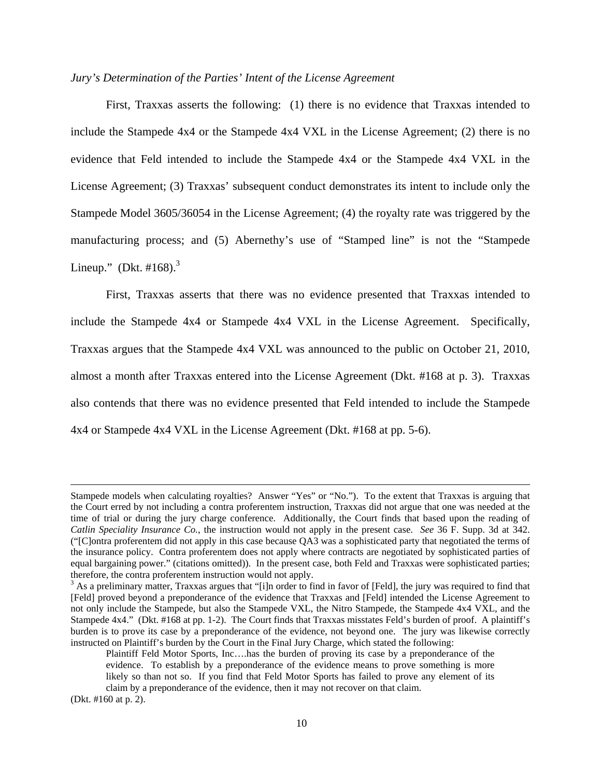### *Jury's Determination of the Parties' Intent of the License Agreement*

 First, Traxxas asserts the following: (1) there is no evidence that Traxxas intended to include the Stampede 4x4 or the Stampede 4x4 VXL in the License Agreement; (2) there is no evidence that Feld intended to include the Stampede 4x4 or the Stampede 4x4 VXL in the License Agreement; (3) Traxxas' subsequent conduct demonstrates its intent to include only the Stampede Model 3605/36054 in the License Agreement; (4) the royalty rate was triggered by the manufacturing process; and (5) Abernethy's use of "Stamped line" is not the "Stampede Lineup." (Dkt. #168). $3$ 

First, Traxxas asserts that there was no evidence presented that Traxxas intended to include the Stampede 4x4 or Stampede 4x4 VXL in the License Agreement. Specifically, Traxxas argues that the Stampede 4x4 VXL was announced to the public on October 21, 2010, almost a month after Traxxas entered into the License Agreement (Dkt. #168 at p. 3). Traxxas also contends that there was no evidence presented that Feld intended to include the Stampede 4x4 or Stampede 4x4 VXL in the License Agreement (Dkt. #168 at pp. 5-6).

<u> Alexandro de la contrada de la contrada de la contrada de la contrada de la contrada de la contrada de la co</u>

(Dkt. #160 at p. 2).

Stampede models when calculating royalties? Answer "Yes" or "No."). To the extent that Traxxas is arguing that the Court erred by not including a contra proferentem instruction, Traxxas did not argue that one was needed at the time of trial or during the jury charge conference. Additionally, the Court finds that based upon the reading of *Catlin Speciality Insurance Co.*, the instruction would not apply in the present case. *See* 36 F. Supp. 3d at 342. ("[C]ontra proferentem did not apply in this case because QA3 was a sophisticated party that negotiated the terms of the insurance policy. Contra proferentem does not apply where contracts are negotiated by sophisticated parties of equal bargaining power." (citations omitted)). In the present case, both Feld and Traxxas were sophisticated parties; therefore, the contra proferentem instruction would not apply.

<sup>&</sup>lt;sup>3</sup> As a preliminary matter, Traxxas argues that "[i]n order to find in favor of [Feld], the jury was required to find that [Feld] proved beyond a preponderance of the evidence that Traxxas and [Feld] intended the License Agreement to not only include the Stampede, but also the Stampede VXL, the Nitro Stampede, the Stampede 4x4 VXL, and the Stampede 4x4." (Dkt. #168 at pp. 1-2). The Court finds that Traxxas misstates Feld's burden of proof. A plaintiff's burden is to prove its case by a preponderance of the evidence, not beyond one. The jury was likewise correctly instructed on Plaintiff's burden by the Court in the Final Jury Charge, which stated the following:

Plaintiff Feld Motor Sports, Inc….has the burden of proving its case by a preponderance of the evidence. To establish by a preponderance of the evidence means to prove something is more likely so than not so. If you find that Feld Motor Sports has failed to prove any element of its claim by a preponderance of the evidence, then it may not recover on that claim.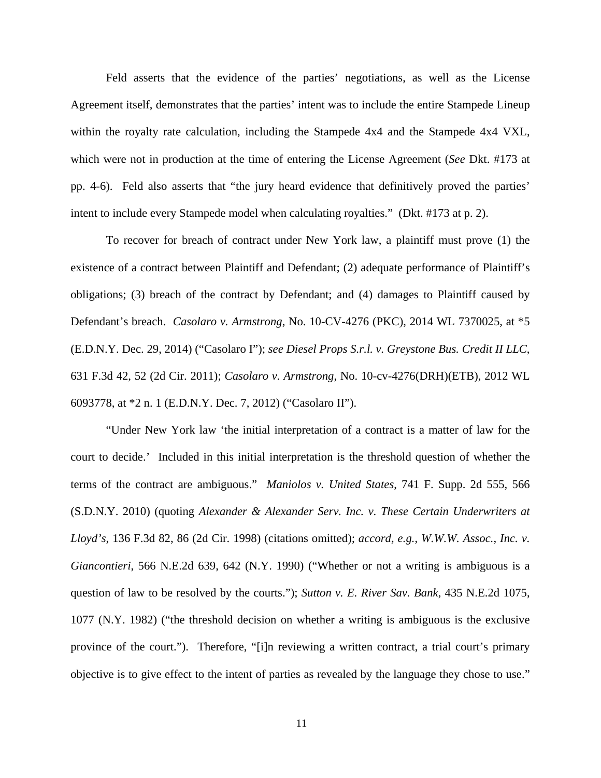Feld asserts that the evidence of the parties' negotiations, as well as the License Agreement itself, demonstrates that the parties' intent was to include the entire Stampede Lineup within the royalty rate calculation, including the Stampede 4x4 and the Stampede 4x4 VXL, which were not in production at the time of entering the License Agreement (*See* Dkt. #173 at pp. 4-6). Feld also asserts that "the jury heard evidence that definitively proved the parties' intent to include every Stampede model when calculating royalties." (Dkt. #173 at p. 2).

 To recover for breach of contract under New York law, a plaintiff must prove (1) the existence of a contract between Plaintiff and Defendant; (2) adequate performance of Plaintiff's obligations; (3) breach of the contract by Defendant; and (4) damages to Plaintiff caused by Defendant's breach. *Casolaro v. Armstrong*, No. 10-CV-4276 (PKC), 2014 WL 7370025, at \*5 (E.D.N.Y. Dec. 29, 2014) ("Casolaro I"); *see Diesel Props S.r.l. v. Greystone Bus. Credit II LLC*, 631 F.3d 42, 52 (2d Cir. 2011); *Casolaro v. Armstrong*, No. 10-cv-4276(DRH)(ETB), 2012 WL 6093778, at \*2 n. 1 (E.D.N.Y. Dec. 7, 2012) ("Casolaro II").

"Under New York law 'the initial interpretation of a contract is a matter of law for the court to decide.' Included in this initial interpretation is the threshold question of whether the terms of the contract are ambiguous." *Maniolos v. United States*, 741 F. Supp. 2d 555, 566 (S.D.N.Y. 2010) (quoting *Alexander & Alexander Serv. Inc. v. These Certain Underwriters at Lloyd's*, 136 F.3d 82, 86 (2d Cir. 1998) (citations omitted); *accord, e.g.*, *W.W.W. Assoc., Inc. v. Giancontieri*, 566 N.E.2d 639, 642 (N.Y. 1990) ("Whether or not a writing is ambiguous is a question of law to be resolved by the courts."); *Sutton v. E. River Sav. Bank*, 435 N.E.2d 1075, 1077 (N.Y. 1982) ("the threshold decision on whether a writing is ambiguous is the exclusive province of the court."). Therefore, "[i]n reviewing a written contract, a trial court's primary objective is to give effect to the intent of parties as revealed by the language they chose to use."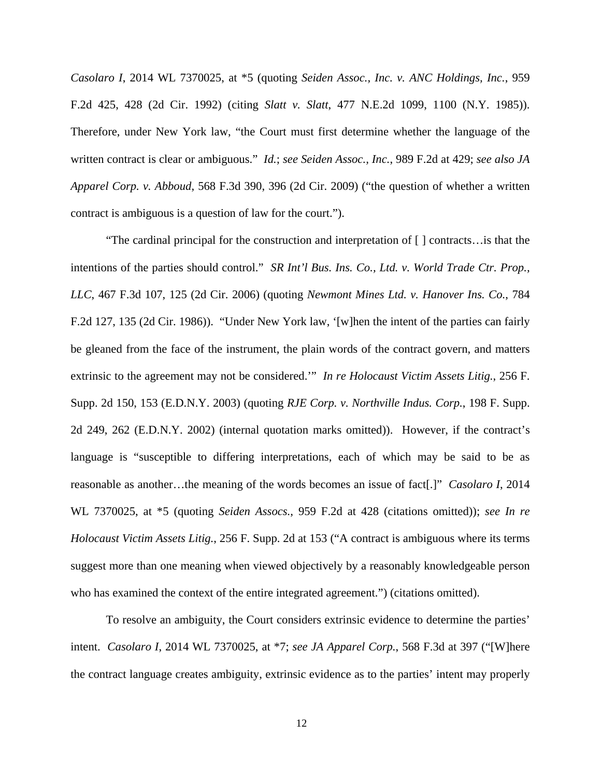*Casolaro I*, 2014 WL 7370025, at \*5 (quoting *Seiden Assoc., Inc. v. ANC Holdings, Inc.*, 959 F.2d 425, 428 (2d Cir. 1992) (citing *Slatt v. Slatt*, 477 N.E.2d 1099, 1100 (N.Y. 1985)). Therefore, under New York law, "the Court must first determine whether the language of the written contract is clear or ambiguous." *Id.*; *see Seiden Assoc., Inc.*, 989 F.2d at 429; *see also JA Apparel Corp. v. Abboud*, 568 F.3d 390, 396 (2d Cir. 2009) ("the question of whether a written contract is ambiguous is a question of law for the court.").

"The cardinal principal for the construction and interpretation of [ ] contracts…is that the intentions of the parties should control." *SR Int'l Bus. Ins. Co., Ltd. v. World Trade Ctr. Prop., LLC*, 467 F.3d 107, 125 (2d Cir. 2006) (quoting *Newmont Mines Ltd. v. Hanover Ins. Co.*, 784 F.2d 127, 135 (2d Cir. 1986)). "Under New York law, '[w]hen the intent of the parties can fairly be gleaned from the face of the instrument, the plain words of the contract govern, and matters extrinsic to the agreement may not be considered.'" *In re Holocaust Victim Assets Litig.*, 256 F. Supp. 2d 150, 153 (E.D.N.Y. 2003) (quoting *RJE Corp. v. Northville Indus. Corp.*, 198 F. Supp. 2d 249, 262 (E.D.N.Y. 2002) (internal quotation marks omitted)). However, if the contract's language is "susceptible to differing interpretations, each of which may be said to be as reasonable as another…the meaning of the words becomes an issue of fact[.]" *Casolaro I*, 2014 WL 7370025, at \*5 (quoting *Seiden Assocs.*, 959 F.2d at 428 (citations omitted)); *see In re Holocaust Victim Assets Litig.*, 256 F. Supp. 2d at 153 ("A contract is ambiguous where its terms suggest more than one meaning when viewed objectively by a reasonably knowledgeable person who has examined the context of the entire integrated agreement.") (citations omitted).

To resolve an ambiguity, the Court considers extrinsic evidence to determine the parties' intent. *Casolaro I*, 2014 WL 7370025, at \*7; *see JA Apparel Corp.*, 568 F.3d at 397 ("[W]here the contract language creates ambiguity, extrinsic evidence as to the parties' intent may properly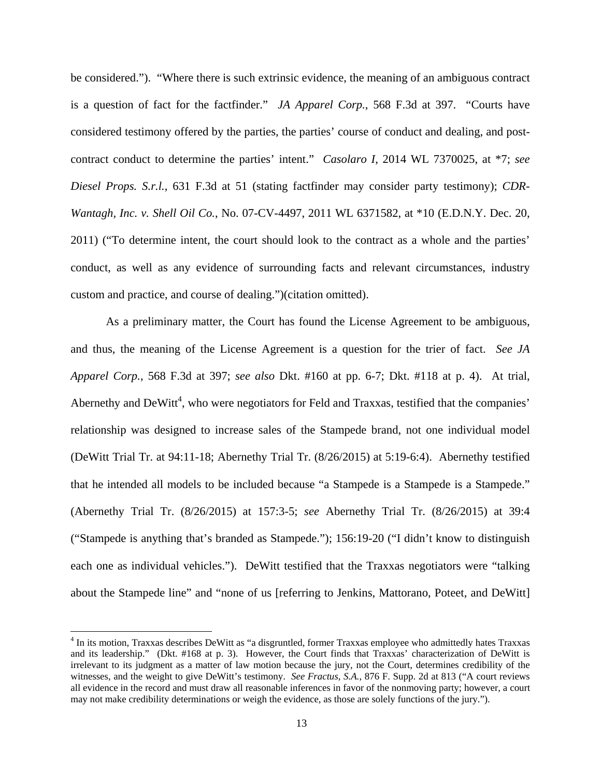be considered."). "Where there is such extrinsic evidence, the meaning of an ambiguous contract is a question of fact for the factfinder." *JA Apparel Corp.*, 568 F.3d at 397. "Courts have considered testimony offered by the parties, the parties' course of conduct and dealing, and postcontract conduct to determine the parties' intent." *Casolaro I*, 2014 WL 7370025, at \*7; *see Diesel Props. S.r.l.*, 631 F.3d at 51 (stating factfinder may consider party testimony); *CDR-Wantagh, Inc. v. Shell Oil Co.*, No. 07-CV-4497, 2011 WL 6371582, at \*10 (E.D.N.Y. Dec. 20, 2011) ("To determine intent, the court should look to the contract as a whole and the parties' conduct, as well as any evidence of surrounding facts and relevant circumstances, industry custom and practice, and course of dealing.")(citation omitted).

As a preliminary matter, the Court has found the License Agreement to be ambiguous, and thus, the meaning of the License Agreement is a question for the trier of fact. *See JA Apparel Corp.*, 568 F.3d at 397; *see also* Dkt. #160 at pp. 6-7; Dkt. #118 at p. 4). At trial, Abernethy and DeWitt<sup>4</sup>, who were negotiators for Feld and Traxxas, testified that the companies' relationship was designed to increase sales of the Stampede brand, not one individual model (DeWitt Trial Tr. at 94:11-18; Abernethy Trial Tr. (8/26/2015) at 5:19-6:4). Abernethy testified that he intended all models to be included because "a Stampede is a Stampede is a Stampede." (Abernethy Trial Tr. (8/26/2015) at 157:3-5; *see* Abernethy Trial Tr. (8/26/2015) at 39:4 ("Stampede is anything that's branded as Stampede."); 156:19-20 ("I didn't know to distinguish each one as individual vehicles."). DeWitt testified that the Traxxas negotiators were "talking about the Stampede line" and "none of us [referring to Jenkins, Mattorano, Poteet, and DeWitt]

<sup>&</sup>lt;sup>4</sup> In its motion, Traxxas describes DeWitt as "a disgruntled, former Traxxas employee who admittedly hates Traxxas and its leadership." (Dkt. #168 at p. 3). However, the Court finds that Traxxas' characterization of DeWitt is irrelevant to its judgment as a matter of law motion because the jury, not the Court, determines credibility of the witnesses, and the weight to give DeWitt's testimony. *See Fractus, S.A.*, 876 F. Supp. 2d at 813 ("A court reviews all evidence in the record and must draw all reasonable inferences in favor of the nonmoving party; however, a court may not make credibility determinations or weigh the evidence, as those are solely functions of the jury.").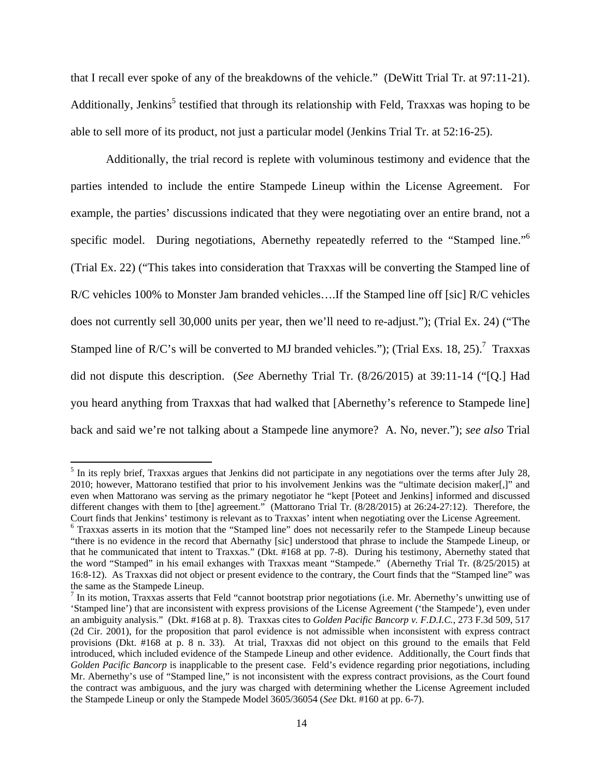that I recall ever spoke of any of the breakdowns of the vehicle." (DeWitt Trial Tr. at 97:11-21). Additionally, Jenkins<sup>5</sup> testified that through its relationship with Feld, Traxxas was hoping to be able to sell more of its product, not just a particular model (Jenkins Trial Tr. at 52:16-25).

Additionally, the trial record is replete with voluminous testimony and evidence that the parties intended to include the entire Stampede Lineup within the License Agreement. For example, the parties' discussions indicated that they were negotiating over an entire brand, not a specific model. During negotiations, Abernethy repeatedly referred to the "Stamped line."<sup>6</sup> (Trial Ex. 22) ("This takes into consideration that Traxxas will be converting the Stamped line of R/C vehicles 100% to Monster Jam branded vehicles….If the Stamped line off [sic] R/C vehicles does not currently sell 30,000 units per year, then we'll need to re-adjust."); (Trial Ex. 24) ("The Stamped line of R/C's will be converted to MJ branded vehicles."); (Trial Exs. 18, 25).<sup>7</sup> Traxxas did not dispute this description. (*See* Abernethy Trial Tr. (8/26/2015) at 39:11-14 ("[Q.] Had you heard anything from Traxxas that had walked that [Abernethy's reference to Stampede line] back and said we're not talking about a Stampede line anymore? A. No, never."); *see also* Trial

<sup>&</sup>lt;sup>5</sup> In its reply brief, Traxxas argues that Jenkins did not participate in any negotiations over the terms after July 28, 2010; however, Mattorano testified that prior to his involvement Jenkins was the "ultimate decision maker[,]" and even when Mattorano was serving as the primary negotiator he "kept [Poteet and Jenkins] informed and discussed different changes with them to [the] agreement." (Mattorano Trial Tr. (8/28/2015) at 26:24-27:12). Therefore, the Court finds that Jenkins' testimony is relevant as to Traxxas' intent when negotiating over the License Agreement.

<sup>&</sup>lt;sup>6</sup> Traxxas asserts in its motion that the "Stamped line" does not necessarily refer to the Stampede Lineup because "there is no evidence in the record that Abernathy [sic] understood that phrase to include the Stampede Lineup, or that he communicated that intent to Traxxas." (Dkt. #168 at pp. 7-8). During his testimony, Abernethy stated that the word "Stamped" in his email exhanges with Traxxas meant "Stampede." (Abernethy Trial Tr. (8/25/2015) at 16:8-12). As Traxxas did not object or present evidence to the contrary, the Court finds that the "Stamped line" was the same as the Stampede Lineup.

 $<sup>7</sup>$  In its motion, Traxxas asserts that Feld "cannot bootstrap prior negotiations (i.e. Mr. Abernethy's unwitting use of</sup> 'Stamped line') that are inconsistent with express provisions of the License Agreement ('the Stampede'), even under an ambiguity analysis." (Dkt. #168 at p. 8). Traxxas cites to *Golden Pacific Bancorp v. F.D.I.C.*, 273 F.3d 509, 517 (2d Cir. 2001), for the proposition that parol evidence is not admissible when inconsistent with express contract provisions (Dkt. #168 at p. 8 n. 33). At trial, Traxxas did not object on this ground to the emails that Feld introduced, which included evidence of the Stampede Lineup and other evidence. Additionally, the Court finds that *Golden Pacific Bancorp* is inapplicable to the present case. Feld's evidence regarding prior negotiations, including Mr. Abernethy's use of "Stamped line," is not inconsistent with the express contract provisions, as the Court found the contract was ambiguous, and the jury was charged with determining whether the License Agreement included the Stampede Lineup or only the Stampede Model 3605/36054 (*See* Dkt. #160 at pp. 6-7).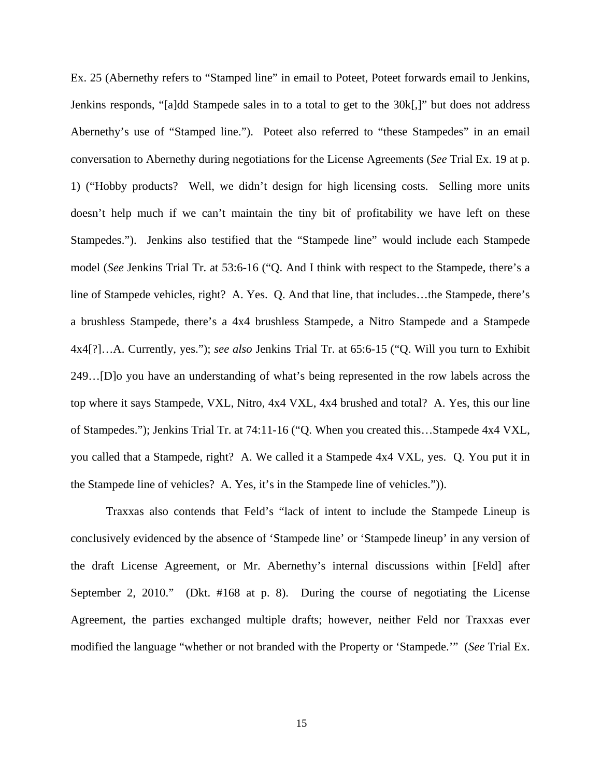Ex. 25 (Abernethy refers to "Stamped line" in email to Poteet, Poteet forwards email to Jenkins, Jenkins responds, "[a]dd Stampede sales in to a total to get to the 30k[,]" but does not address Abernethy's use of "Stamped line."). Poteet also referred to "these Stampedes" in an email conversation to Abernethy during negotiations for the License Agreements (*See* Trial Ex. 19 at p. 1) ("Hobby products? Well, we didn't design for high licensing costs. Selling more units doesn't help much if we can't maintain the tiny bit of profitability we have left on these Stampedes."). Jenkins also testified that the "Stampede line" would include each Stampede model (*See* Jenkins Trial Tr. at 53:6-16 ("Q. And I think with respect to the Stampede, there's a line of Stampede vehicles, right? A. Yes. Q. And that line, that includes…the Stampede, there's a brushless Stampede, there's a 4x4 brushless Stampede, a Nitro Stampede and a Stampede 4x4[?]…A. Currently, yes."); *see also* Jenkins Trial Tr. at 65:6-15 ("Q. Will you turn to Exhibit 249…[D]o you have an understanding of what's being represented in the row labels across the top where it says Stampede, VXL, Nitro, 4x4 VXL, 4x4 brushed and total? A. Yes, this our line of Stampedes."); Jenkins Trial Tr. at 74:11-16 ("Q. When you created this…Stampede 4x4 VXL, you called that a Stampede, right? A. We called it a Stampede 4x4 VXL, yes. Q. You put it in the Stampede line of vehicles? A. Yes, it's in the Stampede line of vehicles.")).

Traxxas also contends that Feld's "lack of intent to include the Stampede Lineup is conclusively evidenced by the absence of 'Stampede line' or 'Stampede lineup' in any version of the draft License Agreement, or Mr. Abernethy's internal discussions within [Feld] after September 2, 2010." (Dkt. #168 at p. 8). During the course of negotiating the License Agreement, the parties exchanged multiple drafts; however, neither Feld nor Traxxas ever modified the language "whether or not branded with the Property or 'Stampede.'" (*See* Trial Ex.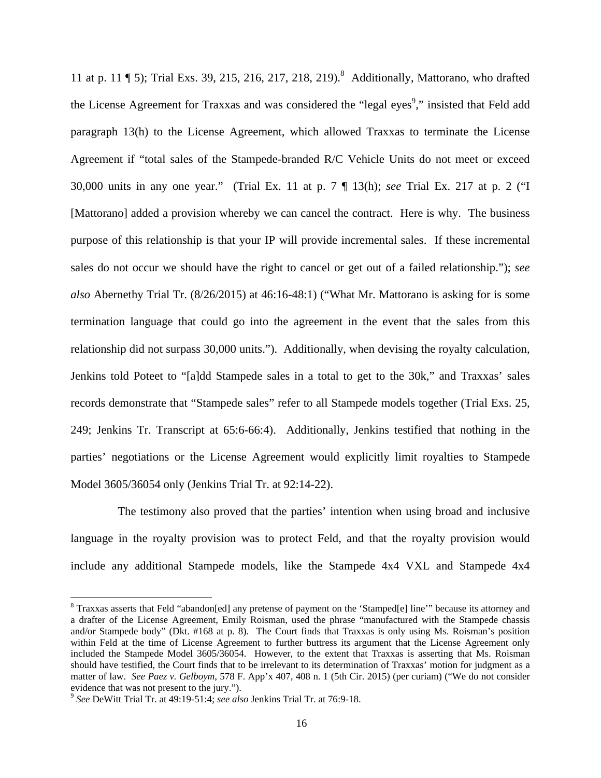11 at p. 11 [ 5); Trial Exs. 39, 215, 216, 217, 218, 219).<sup>8</sup> Additionally, Mattorano, who drafted the License Agreement for Traxxas and was considered the "legal eyes<sup>9</sup>," insisted that Feld add paragraph 13(h) to the License Agreement, which allowed Traxxas to terminate the License Agreement if "total sales of the Stampede-branded R/C Vehicle Units do not meet or exceed 30,000 units in any one year." (Trial Ex. 11 at p. 7 ¶ 13(h); *see* Trial Ex. 217 at p. 2 ("I [Mattorano] added a provision whereby we can cancel the contract. Here is why. The business purpose of this relationship is that your IP will provide incremental sales. If these incremental sales do not occur we should have the right to cancel or get out of a failed relationship."); *see also* Abernethy Trial Tr. (8/26/2015) at 46:16-48:1) ("What Mr. Mattorano is asking for is some termination language that could go into the agreement in the event that the sales from this relationship did not surpass 30,000 units."). Additionally, when devising the royalty calculation, Jenkins told Poteet to "[a]dd Stampede sales in a total to get to the 30k," and Traxxas' sales records demonstrate that "Stampede sales" refer to all Stampede models together (Trial Exs. 25, 249; Jenkins Tr. Transcript at 65:6-66:4). Additionally, Jenkins testified that nothing in the parties' negotiations or the License Agreement would explicitly limit royalties to Stampede Model 3605/36054 only (Jenkins Trial Tr. at 92:14-22).

 The testimony also proved that the parties' intention when using broad and inclusive language in the royalty provision was to protect Feld, and that the royalty provision would include any additional Stampede models, like the Stampede 4x4 VXL and Stampede 4x4

<sup>&</sup>lt;sup>8</sup> Traxxas asserts that Feld "abandon[ed] any pretense of payment on the 'Stamped[e] line'" because its attorney and a drafter of the License Agreement, Emily Roisman, used the phrase "manufactured with the Stampede chassis and/or Stampede body" (Dkt. #168 at p. 8). The Court finds that Traxxas is only using Ms. Roisman's position within Feld at the time of License Agreement to further buttress its argument that the License Agreement only included the Stampede Model 3605/36054. However, to the extent that Traxxas is asserting that Ms. Roisman should have testified, the Court finds that to be irrelevant to its determination of Traxxas' motion for judgment as a matter of law. *See Paez v. Gelboym*, 578 F. App'x 407, 408 n. 1 (5th Cir. 2015) (per curiam) ("We do not consider evidence that was not present to the jury.").

<sup>9</sup> *See* DeWitt Trial Tr. at 49:19-51:4; *see also* Jenkins Trial Tr. at 76:9-18.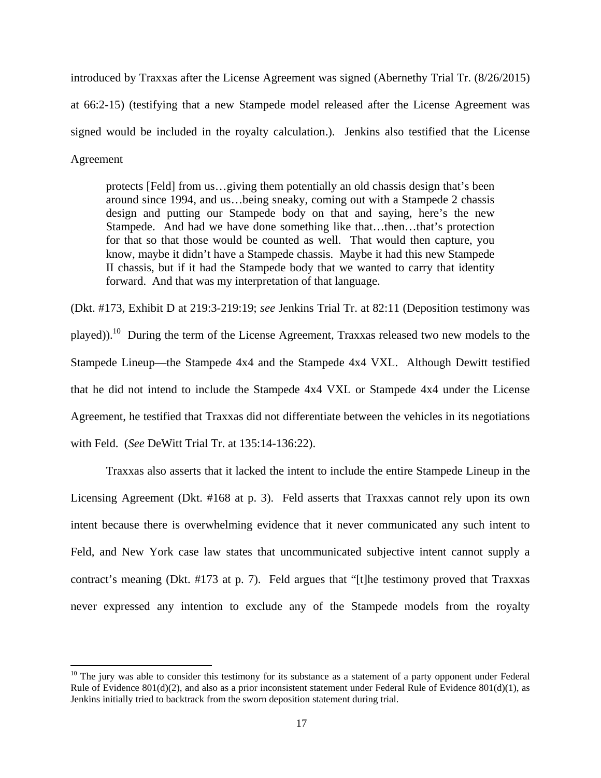introduced by Traxxas after the License Agreement was signed (Abernethy Trial Tr. (8/26/2015) at 66:2-15) (testifying that a new Stampede model released after the License Agreement was signed would be included in the royalty calculation.). Jenkins also testified that the License Agreement

protects [Feld] from us…giving them potentially an old chassis design that's been around since 1994, and us…being sneaky, coming out with a Stampede 2 chassis design and putting our Stampede body on that and saying, here's the new Stampede. And had we have done something like that…then…that's protection for that so that those would be counted as well. That would then capture, you know, maybe it didn't have a Stampede chassis. Maybe it had this new Stampede II chassis, but if it had the Stampede body that we wanted to carry that identity forward. And that was my interpretation of that language.

(Dkt. #173, Exhibit D at 219:3-219:19; *see* Jenkins Trial Tr. at 82:11 (Deposition testimony was played)).<sup>10</sup> During the term of the License Agreement, Traxxas released two new models to the Stampede Lineup—the Stampede 4x4 and the Stampede 4x4 VXL. Although Dewitt testified that he did not intend to include the Stampede 4x4 VXL or Stampede 4x4 under the License Agreement, he testified that Traxxas did not differentiate between the vehicles in its negotiations with Feld. (*See* DeWitt Trial Tr. at 135:14-136:22).

Traxxas also asserts that it lacked the intent to include the entire Stampede Lineup in the Licensing Agreement (Dkt. #168 at p. 3). Feld asserts that Traxxas cannot rely upon its own intent because there is overwhelming evidence that it never communicated any such intent to Feld, and New York case law states that uncommunicated subjective intent cannot supply a contract's meaning (Dkt. #173 at p. 7). Feld argues that "[t]he testimony proved that Traxxas never expressed any intention to exclude any of the Stampede models from the royalty

 $10$  The jury was able to consider this testimony for its substance as a statement of a party opponent under Federal Rule of Evidence  $801(d)(2)$ , and also as a prior inconsistent statement under Federal Rule of Evidence  $801(d)(1)$ , as Jenkins initially tried to backtrack from the sworn deposition statement during trial.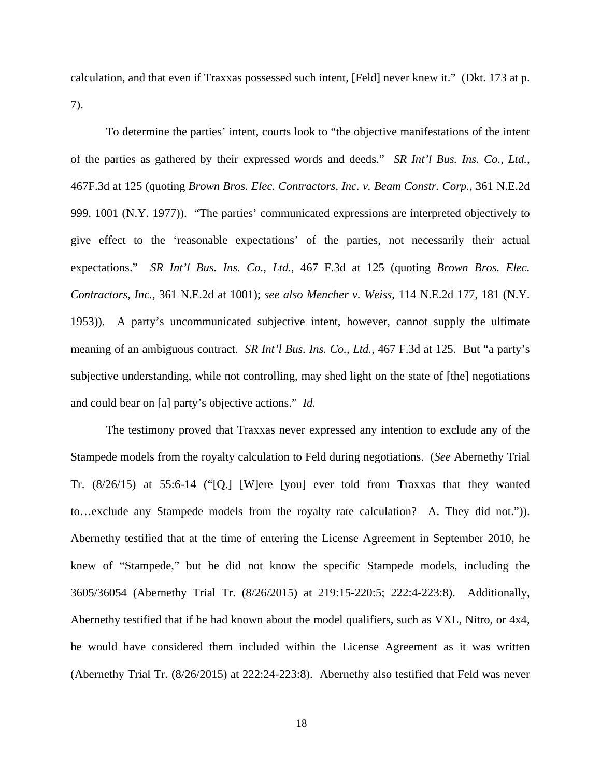calculation, and that even if Traxxas possessed such intent, [Feld] never knew it." (Dkt. 173 at p. 7).

To determine the parties' intent, courts look to "the objective manifestations of the intent of the parties as gathered by their expressed words and deeds." *SR Int'l Bus. Ins. Co., Ltd.*, 467F.3d at 125 (quoting *Brown Bros. Elec. Contractors, Inc. v. Beam Constr. Corp.*, 361 N.E.2d 999, 1001 (N.Y. 1977)). "The parties' communicated expressions are interpreted objectively to give effect to the 'reasonable expectations' of the parties, not necessarily their actual expectations." *SR Int'l Bus. Ins. Co., Ltd.*, 467 F.3d at 125 (quoting *Brown Bros. Elec. Contractors, Inc.*, 361 N.E.2d at 1001); *see also Mencher v. Weiss*, 114 N.E.2d 177, 181 (N.Y. 1953)). A party's uncommunicated subjective intent, however, cannot supply the ultimate meaning of an ambiguous contract. *SR Int'l Bus. Ins. Co., Ltd.*, 467 F.3d at 125. But "a party's subjective understanding, while not controlling, may shed light on the state of [the] negotiations and could bear on [a] party's objective actions." *Id.*

The testimony proved that Traxxas never expressed any intention to exclude any of the Stampede models from the royalty calculation to Feld during negotiations. (*See* Abernethy Trial Tr. (8/26/15) at 55:6-14 ("[Q.] [W]ere [you] ever told from Traxxas that they wanted to…exclude any Stampede models from the royalty rate calculation? A. They did not.")). Abernethy testified that at the time of entering the License Agreement in September 2010, he knew of "Stampede," but he did not know the specific Stampede models, including the 3605/36054 (Abernethy Trial Tr. (8/26/2015) at 219:15-220:5; 222:4-223:8). Additionally, Abernethy testified that if he had known about the model qualifiers, such as VXL, Nitro, or 4x4, he would have considered them included within the License Agreement as it was written (Abernethy Trial Tr. (8/26/2015) at 222:24-223:8). Abernethy also testified that Feld was never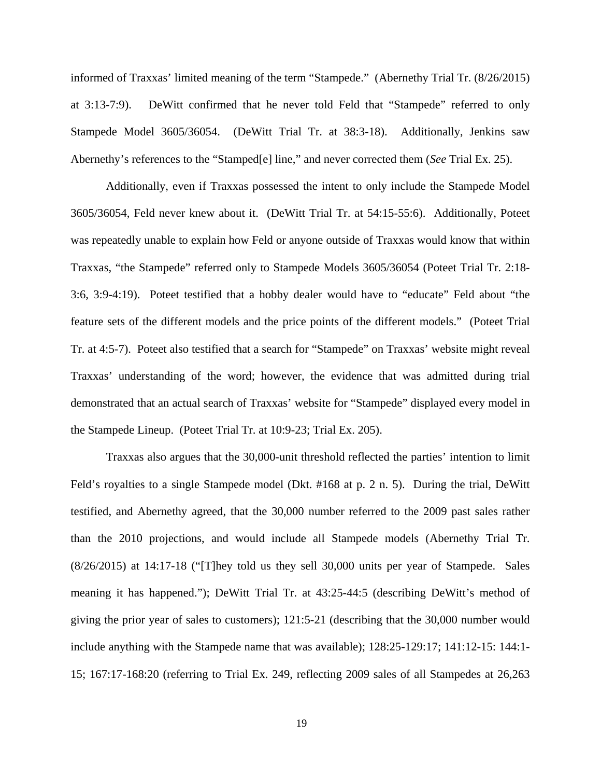informed of Traxxas' limited meaning of the term "Stampede." (Abernethy Trial Tr. (8/26/2015) at 3:13-7:9). DeWitt confirmed that he never told Feld that "Stampede" referred to only Stampede Model 3605/36054. (DeWitt Trial Tr. at 38:3-18). Additionally, Jenkins saw Abernethy's references to the "Stamped[e] line," and never corrected them (*See* Trial Ex. 25).

Additionally, even if Traxxas possessed the intent to only include the Stampede Model 3605/36054, Feld never knew about it. (DeWitt Trial Tr. at 54:15-55:6). Additionally, Poteet was repeatedly unable to explain how Feld or anyone outside of Traxxas would know that within Traxxas, "the Stampede" referred only to Stampede Models 3605/36054 (Poteet Trial Tr. 2:18- 3:6, 3:9-4:19). Poteet testified that a hobby dealer would have to "educate" Feld about "the feature sets of the different models and the price points of the different models." (Poteet Trial Tr. at 4:5-7). Poteet also testified that a search for "Stampede" on Traxxas' website might reveal Traxxas' understanding of the word; however, the evidence that was admitted during trial demonstrated that an actual search of Traxxas' website for "Stampede" displayed every model in the Stampede Lineup. (Poteet Trial Tr. at 10:9-23; Trial Ex. 205).

Traxxas also argues that the 30,000-unit threshold reflected the parties' intention to limit Feld's royalties to a single Stampede model (Dkt. #168 at p. 2 n. 5). During the trial, DeWitt testified, and Abernethy agreed, that the 30,000 number referred to the 2009 past sales rather than the 2010 projections, and would include all Stampede models (Abernethy Trial Tr. (8/26/2015) at 14:17-18 ("[T]hey told us they sell 30,000 units per year of Stampede. Sales meaning it has happened."); DeWitt Trial Tr. at 43:25-44:5 (describing DeWitt's method of giving the prior year of sales to customers); 121:5-21 (describing that the 30,000 number would include anything with the Stampede name that was available); 128:25-129:17; 141:12-15: 144:1- 15; 167:17-168:20 (referring to Trial Ex. 249, reflecting 2009 sales of all Stampedes at 26,263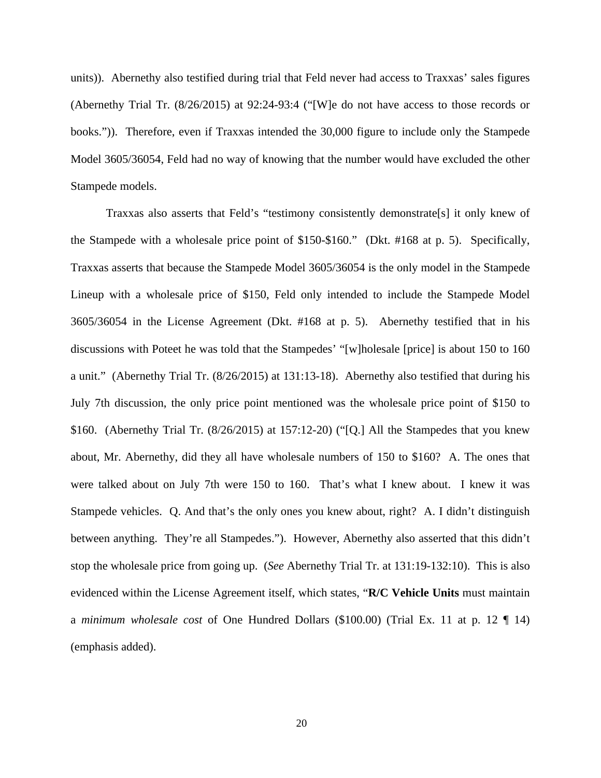units)). Abernethy also testified during trial that Feld never had access to Traxxas' sales figures (Abernethy Trial Tr. (8/26/2015) at 92:24-93:4 ("[W]e do not have access to those records or books.")). Therefore, even if Traxxas intended the 30,000 figure to include only the Stampede Model 3605/36054, Feld had no way of knowing that the number would have excluded the other Stampede models.

Traxxas also asserts that Feld's "testimony consistently demonstrate[s] it only knew of the Stampede with a wholesale price point of \$150-\$160." (Dkt. #168 at p. 5). Specifically, Traxxas asserts that because the Stampede Model 3605/36054 is the only model in the Stampede Lineup with a wholesale price of \$150, Feld only intended to include the Stampede Model 3605/36054 in the License Agreement (Dkt. #168 at p. 5). Abernethy testified that in his discussions with Poteet he was told that the Stampedes' "[w]holesale [price] is about 150 to 160 a unit." (Abernethy Trial Tr. (8/26/2015) at 131:13-18). Abernethy also testified that during his July 7th discussion, the only price point mentioned was the wholesale price point of \$150 to \$160. (Abernethy Trial Tr.  $(8/26/2015)$  at 157:12-20) ("[Q.] All the Stampedes that you knew about, Mr. Abernethy, did they all have wholesale numbers of 150 to \$160? A. The ones that were talked about on July 7th were 150 to 160. That's what I knew about. I knew it was Stampede vehicles. Q. And that's the only ones you knew about, right? A. I didn't distinguish between anything. They're all Stampedes."). However, Abernethy also asserted that this didn't stop the wholesale price from going up. (*See* Abernethy Trial Tr. at 131:19-132:10). This is also evidenced within the License Agreement itself, which states, "**R/C Vehicle Units** must maintain a *minimum wholesale cost* of One Hundred Dollars (\$100.00) (Trial Ex. 11 at p. 12 ¶ 14) (emphasis added).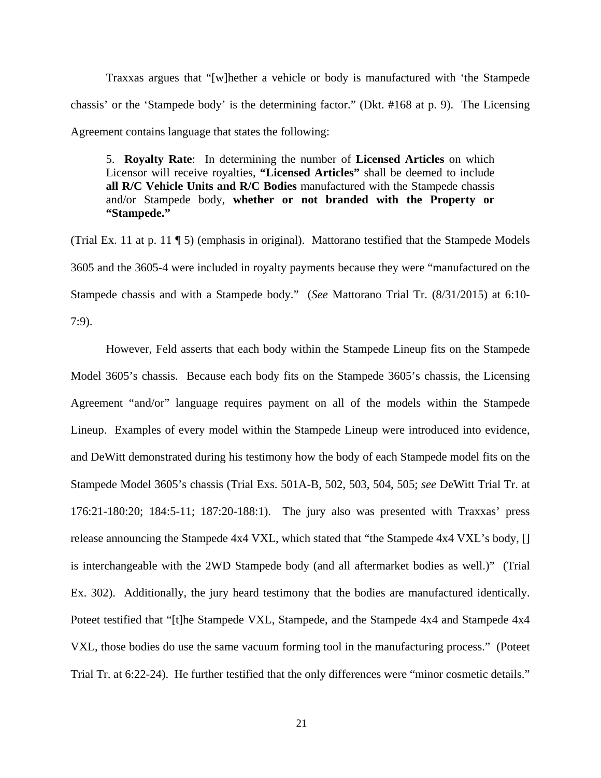Traxxas argues that "[w]hether a vehicle or body is manufactured with 'the Stampede chassis' or the 'Stampede body' is the determining factor." (Dkt. #168 at p. 9). The Licensing Agreement contains language that states the following:

5. **Royalty Rate**: In determining the number of **Licensed Articles** on which Licensor will receive royalties, **"Licensed Articles"** shall be deemed to include **all R/C Vehicle Units and R/C Bodies** manufactured with the Stampede chassis and/or Stampede body, **whether or not branded with the Property or "Stampede."**

(Trial Ex. 11 at p. 11  $\sqrt{5}$ ) (emphasis in original). Mattorano testified that the Stampede Models 3605 and the 3605-4 were included in royalty payments because they were "manufactured on the Stampede chassis and with a Stampede body." (*See* Mattorano Trial Tr. (8/31/2015) at 6:10- 7:9).

However, Feld asserts that each body within the Stampede Lineup fits on the Stampede Model 3605's chassis. Because each body fits on the Stampede 3605's chassis, the Licensing Agreement "and/or" language requires payment on all of the models within the Stampede Lineup. Examples of every model within the Stampede Lineup were introduced into evidence, and DeWitt demonstrated during his testimony how the body of each Stampede model fits on the Stampede Model 3605's chassis (Trial Exs. 501A-B, 502, 503, 504, 505; *see* DeWitt Trial Tr. at 176:21-180:20; 184:5-11; 187:20-188:1). The jury also was presented with Traxxas' press release announcing the Stampede 4x4 VXL, which stated that "the Stampede 4x4 VXL's body, [] is interchangeable with the 2WD Stampede body (and all aftermarket bodies as well.)" (Trial Ex. 302). Additionally, the jury heard testimony that the bodies are manufactured identically. Poteet testified that "[t]he Stampede VXL, Stampede, and the Stampede 4x4 and Stampede 4x4 VXL, those bodies do use the same vacuum forming tool in the manufacturing process." (Poteet Trial Tr. at 6:22-24). He further testified that the only differences were "minor cosmetic details."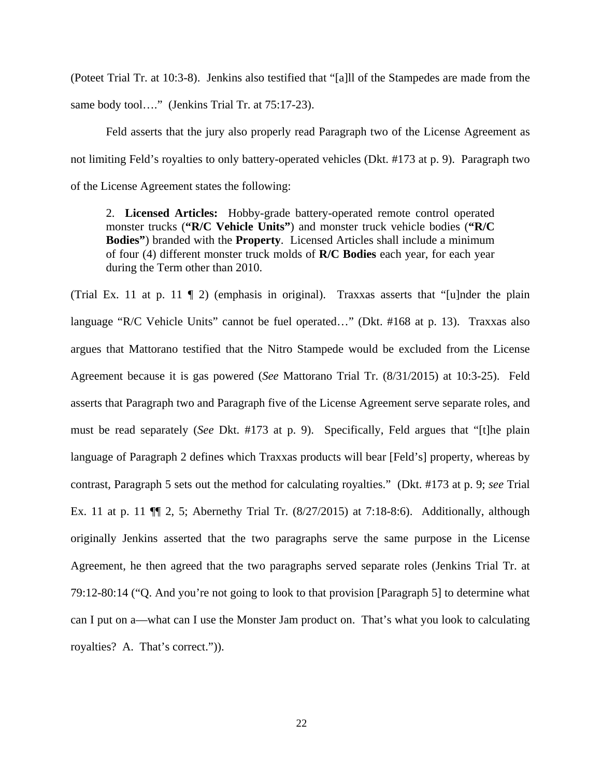(Poteet Trial Tr. at 10:3-8). Jenkins also testified that "[a]ll of the Stampedes are made from the same body tool...." (Jenkins Trial Tr. at 75:17-23).

Feld asserts that the jury also properly read Paragraph two of the License Agreement as not limiting Feld's royalties to only battery-operated vehicles (Dkt. #173 at p. 9). Paragraph two of the License Agreement states the following:

2. **Licensed Articles:** Hobby-grade battery-operated remote control operated monster trucks (**"R/C Vehicle Units"**) and monster truck vehicle bodies (**"R/C Bodies"**) branded with the **Property**. Licensed Articles shall include a minimum of four (4) different monster truck molds of **R/C Bodies** each year, for each year during the Term other than 2010.

(Trial Ex. 11 at p. 11  $\parallel$  2) (emphasis in original). Traxxas asserts that "[u]nder the plain language "R/C Vehicle Units" cannot be fuel operated…" (Dkt. #168 at p. 13). Traxxas also argues that Mattorano testified that the Nitro Stampede would be excluded from the License Agreement because it is gas powered (*See* Mattorano Trial Tr. (8/31/2015) at 10:3-25). Feld asserts that Paragraph two and Paragraph five of the License Agreement serve separate roles, and must be read separately (*See* Dkt. #173 at p. 9). Specifically, Feld argues that "[t]he plain language of Paragraph 2 defines which Traxxas products will bear [Feld's] property, whereas by contrast, Paragraph 5 sets out the method for calculating royalties." (Dkt. #173 at p. 9; *see* Trial Ex. 11 at p. 11 ¶¶ 2, 5; Abernethy Trial Tr. (8/27/2015) at 7:18-8:6). Additionally, although originally Jenkins asserted that the two paragraphs serve the same purpose in the License Agreement, he then agreed that the two paragraphs served separate roles (Jenkins Trial Tr. at 79:12-80:14 ("Q. And you're not going to look to that provision [Paragraph 5] to determine what can I put on a—what can I use the Monster Jam product on. That's what you look to calculating royalties? A. That's correct.")).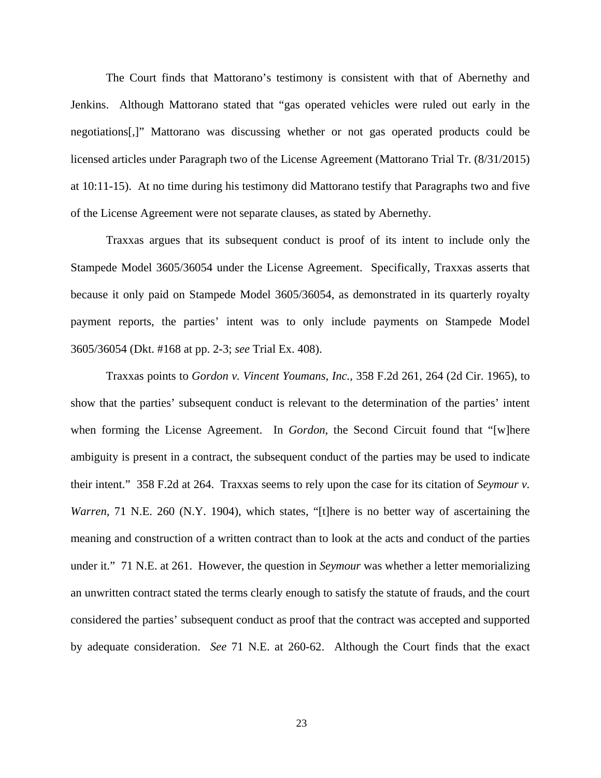The Court finds that Mattorano's testimony is consistent with that of Abernethy and Jenkins. Although Mattorano stated that "gas operated vehicles were ruled out early in the negotiations[,]" Mattorano was discussing whether or not gas operated products could be licensed articles under Paragraph two of the License Agreement (Mattorano Trial Tr. (8/31/2015) at 10:11-15). At no time during his testimony did Mattorano testify that Paragraphs two and five of the License Agreement were not separate clauses, as stated by Abernethy.

Traxxas argues that its subsequent conduct is proof of its intent to include only the Stampede Model 3605/36054 under the License Agreement. Specifically, Traxxas asserts that because it only paid on Stampede Model 3605/36054, as demonstrated in its quarterly royalty payment reports, the parties' intent was to only include payments on Stampede Model 3605/36054 (Dkt. #168 at pp. 2-3; *see* Trial Ex. 408).

 Traxxas points to *Gordon v. Vincent Youmans, Inc.*, 358 F.2d 261, 264 (2d Cir. 1965), to show that the parties' subsequent conduct is relevant to the determination of the parties' intent when forming the License Agreement. In *Gordon*, the Second Circuit found that "[w]here ambiguity is present in a contract, the subsequent conduct of the parties may be used to indicate their intent." 358 F.2d at 264. Traxxas seems to rely upon the case for its citation of *Seymour v. Warren*, 71 N.E. 260 (N.Y. 1904), which states, "[t]here is no better way of ascertaining the meaning and construction of a written contract than to look at the acts and conduct of the parties under it." 71 N.E. at 261. However, the question in *Seymour* was whether a letter memorializing an unwritten contract stated the terms clearly enough to satisfy the statute of frauds, and the court considered the parties' subsequent conduct as proof that the contract was accepted and supported by adequate consideration. *See* 71 N.E. at 260-62. Although the Court finds that the exact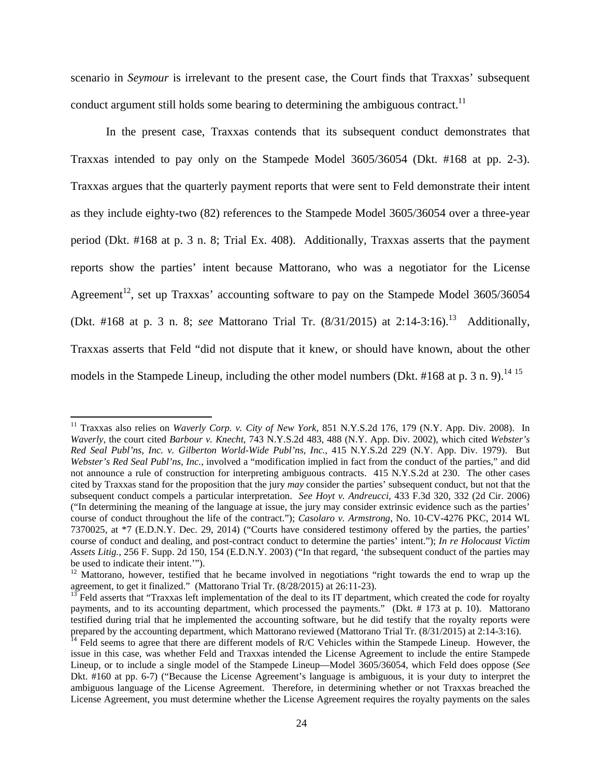scenario in *Seymour* is irrelevant to the present case, the Court finds that Traxxas' subsequent conduct argument still holds some bearing to determining the ambiguous contract.<sup>11</sup>

 In the present case, Traxxas contends that its subsequent conduct demonstrates that Traxxas intended to pay only on the Stampede Model 3605/36054 (Dkt. #168 at pp. 2-3). Traxxas argues that the quarterly payment reports that were sent to Feld demonstrate their intent as they include eighty-two (82) references to the Stampede Model 3605/36054 over a three-year period (Dkt. #168 at p. 3 n. 8; Trial Ex. 408). Additionally, Traxxas asserts that the payment reports show the parties' intent because Mattorano, who was a negotiator for the License Agreement<sup>12</sup>, set up Traxxas' accounting software to pay on the Stampede Model 3605/36054 (Dkt. #168 at p. 3 n. 8; *see* Mattorano Trial Tr. (8/31/2015) at 2:14-3:16).<sup>13</sup> Additionally, Traxxas asserts that Feld "did not dispute that it knew, or should have known, about the other models in the Stampede Lineup, including the other model numbers (Dkt. #168 at p. 3 n. 9).<sup>14 15</sup>

<sup>&</sup>lt;sup>11</sup> Traxxas also relies on *Waverly Corp. v. City of New York*, 851 N.Y.S.2d 176, 179 (N.Y. App. Div. 2008). In *Waverly*, the court cited *Barbour v. Knecht*, 743 N.Y.S.2d 483, 488 (N.Y. App. Div. 2002), which cited *Webster's Red Seal Publ'ns, Inc. v. Gilberton World-Wide Publ'ns, Inc.*, 415 N.Y.S.2d 229 (N.Y. App. Div. 1979). But *Webster's Red Seal Publ'ns, Inc.*, involved a "modification implied in fact from the conduct of the parties," and did not announce a rule of construction for interpreting ambiguous contracts. 415 N.Y.S.2d at 230. The other cases cited by Traxxas stand for the proposition that the jury *may* consider the parties' subsequent conduct, but not that the subsequent conduct compels a particular interpretation. *See Hoyt v. Andreucci*, 433 F.3d 320, 332 (2d Cir. 2006) ("In determining the meaning of the language at issue, the jury may consider extrinsic evidence such as the parties' course of conduct throughout the life of the contract."); *Casolaro v. Armstrong*, No. 10-CV-4276 PKC, 2014 WL 7370025, at \*7 (E.D.N.Y. Dec. 29, 2014) ("Courts have considered testimony offered by the parties, the parties' course of conduct and dealing, and post-contract conduct to determine the parties' intent."); *In re Holocaust Victim Assets Litig.*, 256 F. Supp. 2d 150, 154 (E.D.N.Y. 2003) ("In that regard, 'the subsequent conduct of the parties may be used to indicate their intent.'").

<sup>&</sup>lt;sup>12</sup> Mattorano, however, testified that he became involved in negotiations "right towards the end to wrap up the agreement, to get it finalized." (Mattorano Trial Tr. (8/28/2015) at 26:11-23).

 $13$  Feld asserts that "Traxxas left implementation of the deal to its IT department, which created the code for royalty payments, and to its accounting department, which processed the payments." (Dkt. # 173 at p. 10). Mattorano testified during trial that he implemented the accounting software, but he did testify that the royalty reports were prepared by the accounting department, which Mattorano reviewed (Mattorano Trial Tr. (8/31/2015) at 2:14-3:16).

 $<sup>14</sup>$  Feld seems to agree that there are different models of R/C Vehicles within the Stampede Lineup. However, the</sup> issue in this case, was whether Feld and Traxxas intended the License Agreement to include the entire Stampede Lineup, or to include a single model of the Stampede Lineup—Model 3605/36054, which Feld does oppose (*See*  Dkt. #160 at pp. 6-7) ("Because the License Agreement's language is ambiguous, it is your duty to interpret the ambiguous language of the License Agreement. Therefore, in determining whether or not Traxxas breached the License Agreement, you must determine whether the License Agreement requires the royalty payments on the sales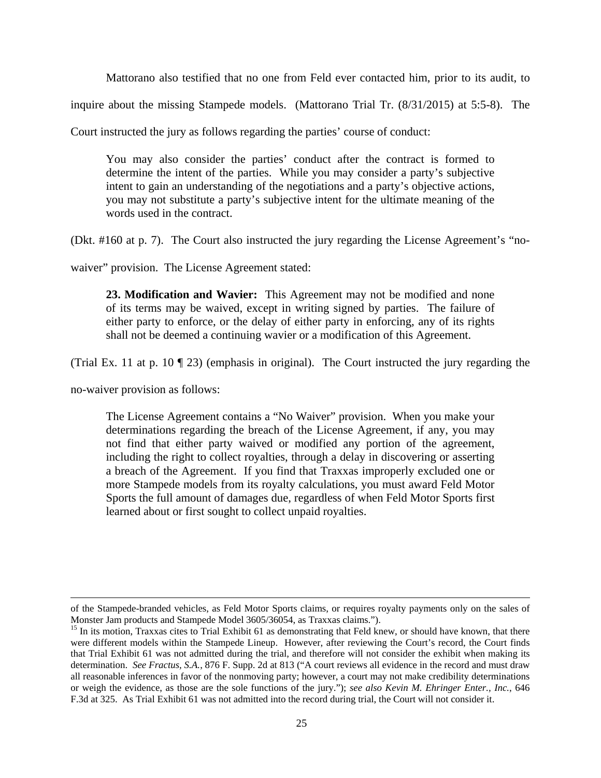Mattorano also testified that no one from Feld ever contacted him, prior to its audit, to

inquire about the missing Stampede models. (Mattorano Trial Tr. (8/31/2015) at 5:5-8). The

Court instructed the jury as follows regarding the parties' course of conduct:

You may also consider the parties' conduct after the contract is formed to determine the intent of the parties. While you may consider a party's subjective intent to gain an understanding of the negotiations and a party's objective actions, you may not substitute a party's subjective intent for the ultimate meaning of the words used in the contract.

(Dkt. #160 at p. 7). The Court also instructed the jury regarding the License Agreement's "no-

waiver" provision. The License Agreement stated:

**23. Modification and Wavier:** This Agreement may not be modified and none of its terms may be waived, except in writing signed by parties. The failure of either party to enforce, or the delay of either party in enforcing, any of its rights shall not be deemed a continuing wavier or a modification of this Agreement.

(Trial Ex. 11 at p. 10 ¶ 23) (emphasis in original). The Court instructed the jury regarding the

no-waiver provision as follows:

The License Agreement contains a "No Waiver" provision. When you make your determinations regarding the breach of the License Agreement, if any, you may not find that either party waived or modified any portion of the agreement, including the right to collect royalties, through a delay in discovering or asserting a breach of the Agreement. If you find that Traxxas improperly excluded one or more Stampede models from its royalty calculations, you must award Feld Motor Sports the full amount of damages due, regardless of when Feld Motor Sports first learned about or first sought to collect unpaid royalties.

<sup>&</sup>lt;u> 1989 - Johann Stein, marwolaethau a bhann an chomhair an t-an chomhair an chomhair an chomhair an chomhair a</u> of the Stampede-branded vehicles, as Feld Motor Sports claims, or requires royalty payments only on the sales of Monster Jam products and Stampede Model 3605/36054, as Traxxas claims.").

<sup>&</sup>lt;sup>15</sup> In its motion, Traxxas cites to Trial Exhibit 61 as demonstrating that Feld knew, or should have known, that there were different models within the Stampede Lineup. However, after reviewing the Court's record, the Court finds that Trial Exhibit 61 was not admitted during the trial, and therefore will not consider the exhibit when making its determination. *See Fractus, S.A.*, 876 F. Supp. 2d at 813 ("A court reviews all evidence in the record and must draw all reasonable inferences in favor of the nonmoving party; however, a court may not make credibility determinations or weigh the evidence, as those are the sole functions of the jury."); *see also Kevin M. Ehringer Enter., Inc.*, 646 F.3d at 325. As Trial Exhibit 61 was not admitted into the record during trial, the Court will not consider it.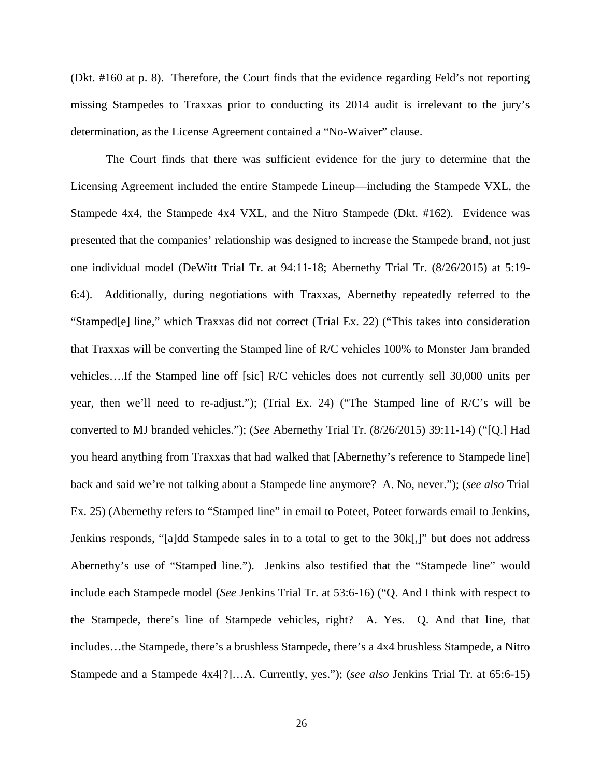(Dkt. #160 at p. 8). Therefore, the Court finds that the evidence regarding Feld's not reporting missing Stampedes to Traxxas prior to conducting its 2014 audit is irrelevant to the jury's determination, as the License Agreement contained a "No-Waiver" clause.

The Court finds that there was sufficient evidence for the jury to determine that the Licensing Agreement included the entire Stampede Lineup—including the Stampede VXL, the Stampede 4x4, the Stampede 4x4 VXL, and the Nitro Stampede (Dkt. #162). Evidence was presented that the companies' relationship was designed to increase the Stampede brand, not just one individual model (DeWitt Trial Tr. at 94:11-18; Abernethy Trial Tr. (8/26/2015) at 5:19- 6:4). Additionally, during negotiations with Traxxas, Abernethy repeatedly referred to the "Stamped[e] line," which Traxxas did not correct (Trial Ex. 22) ("This takes into consideration that Traxxas will be converting the Stamped line of R/C vehicles 100% to Monster Jam branded vehicles….If the Stamped line off [sic] R/C vehicles does not currently sell 30,000 units per year, then we'll need to re-adjust."); (Trial Ex. 24) ("The Stamped line of R/C's will be converted to MJ branded vehicles."); (*See* Abernethy Trial Tr. (8/26/2015) 39:11-14) ("[Q.] Had you heard anything from Traxxas that had walked that [Abernethy's reference to Stampede line] back and said we're not talking about a Stampede line anymore? A. No, never."); (*see also* Trial Ex. 25) (Abernethy refers to "Stamped line" in email to Poteet, Poteet forwards email to Jenkins, Jenkins responds, "[a]dd Stampede sales in to a total to get to the 30k[,]" but does not address Abernethy's use of "Stamped line."). Jenkins also testified that the "Stampede line" would include each Stampede model (*See* Jenkins Trial Tr. at 53:6-16) ("Q. And I think with respect to the Stampede, there's line of Stampede vehicles, right? A. Yes. Q. And that line, that includes…the Stampede, there's a brushless Stampede, there's a 4x4 brushless Stampede, a Nitro Stampede and a Stampede 4x4[?]…A. Currently, yes."); (*see also* Jenkins Trial Tr. at 65:6-15)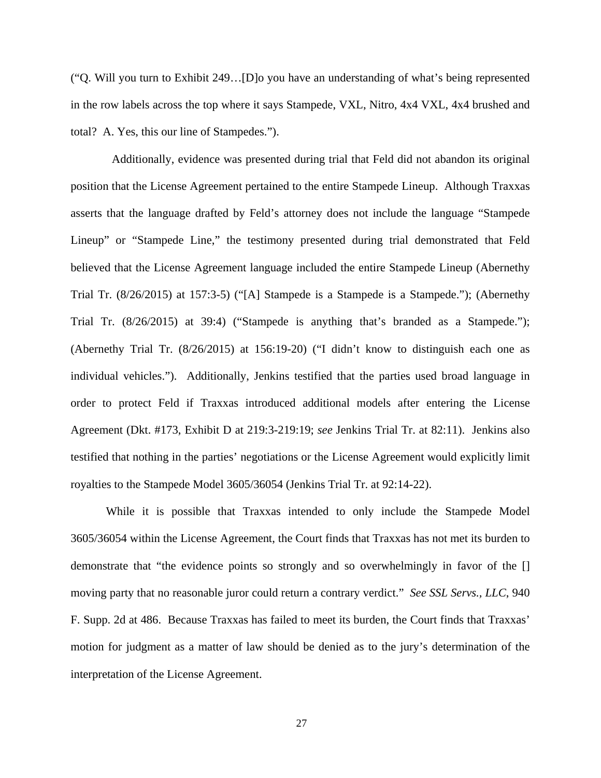("Q. Will you turn to Exhibit 249…[D]o you have an understanding of what's being represented in the row labels across the top where it says Stampede, VXL, Nitro, 4x4 VXL, 4x4 brushed and total? A. Yes, this our line of Stampedes.").

 Additionally, evidence was presented during trial that Feld did not abandon its original position that the License Agreement pertained to the entire Stampede Lineup. Although Traxxas asserts that the language drafted by Feld's attorney does not include the language "Stampede Lineup" or "Stampede Line," the testimony presented during trial demonstrated that Feld believed that the License Agreement language included the entire Stampede Lineup (Abernethy Trial Tr. (8/26/2015) at 157:3-5) ("[A] Stampede is a Stampede is a Stampede."); (Abernethy Trial Tr. (8/26/2015) at 39:4) ("Stampede is anything that's branded as a Stampede."); (Abernethy Trial Tr. (8/26/2015) at 156:19-20) ("I didn't know to distinguish each one as individual vehicles."). Additionally, Jenkins testified that the parties used broad language in order to protect Feld if Traxxas introduced additional models after entering the License Agreement (Dkt. #173, Exhibit D at 219:3-219:19; *see* Jenkins Trial Tr. at 82:11). Jenkins also testified that nothing in the parties' negotiations or the License Agreement would explicitly limit royalties to the Stampede Model 3605/36054 (Jenkins Trial Tr. at 92:14-22).

While it is possible that Traxxas intended to only include the Stampede Model 3605/36054 within the License Agreement, the Court finds that Traxxas has not met its burden to demonstrate that "the evidence points so strongly and so overwhelmingly in favor of the [] moving party that no reasonable juror could return a contrary verdict." *See SSL Servs., LLC*, 940 F. Supp. 2d at 486. Because Traxxas has failed to meet its burden, the Court finds that Traxxas' motion for judgment as a matter of law should be denied as to the jury's determination of the interpretation of the License Agreement.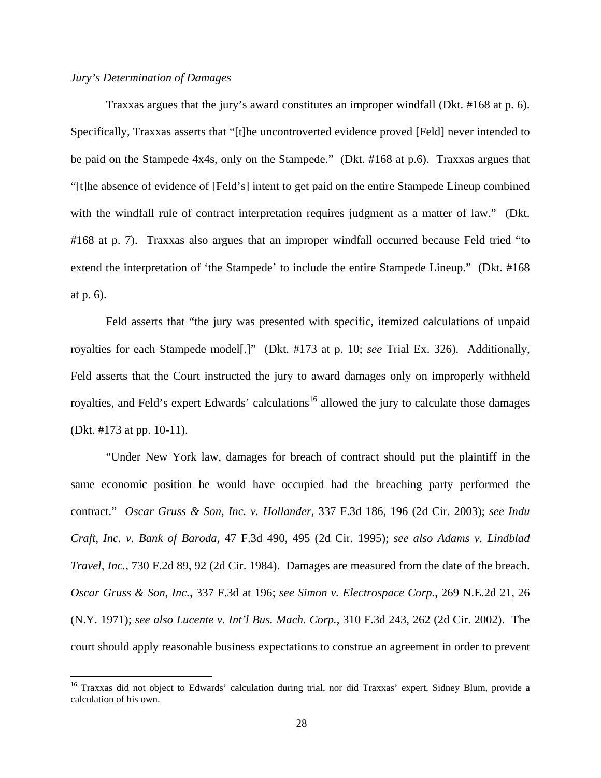## *Jury's Determination of Damages*

 Traxxas argues that the jury's award constitutes an improper windfall (Dkt. #168 at p. 6). Specifically, Traxxas asserts that "[t]he uncontroverted evidence proved [Feld] never intended to be paid on the Stampede 4x4s, only on the Stampede." (Dkt. #168 at p.6). Traxxas argues that "[t]he absence of evidence of [Feld's] intent to get paid on the entire Stampede Lineup combined with the windfall rule of contract interpretation requires judgment as a matter of law." (Dkt. #168 at p. 7). Traxxas also argues that an improper windfall occurred because Feld tried "to extend the interpretation of 'the Stampede' to include the entire Stampede Lineup." (Dkt. #168 at p. 6).

 Feld asserts that "the jury was presented with specific, itemized calculations of unpaid royalties for each Stampede model[.]" (Dkt. #173 at p. 10; *see* Trial Ex. 326). Additionally, Feld asserts that the Court instructed the jury to award damages only on improperly withheld royalties, and Feld's expert Edwards' calculations<sup>16</sup> allowed the jury to calculate those damages (Dkt. #173 at pp. 10-11).

 "Under New York law, damages for breach of contract should put the plaintiff in the same economic position he would have occupied had the breaching party performed the contract." *Oscar Gruss & Son, Inc. v. Hollander*, 337 F.3d 186, 196 (2d Cir. 2003); *see Indu Craft, Inc. v. Bank of Baroda*, 47 F.3d 490, 495 (2d Cir. 1995); *see also Adams v. Lindblad Travel, Inc.*, 730 F.2d 89, 92 (2d Cir. 1984). Damages are measured from the date of the breach. *Oscar Gruss & Son, Inc.*, 337 F.3d at 196; *see Simon v. Electrospace Corp.*, 269 N.E.2d 21, 26 (N.Y. 1971); *see also Lucente v. Int'l Bus. Mach. Corp.*, 310 F.3d 243, 262 (2d Cir. 2002). The court should apply reasonable business expectations to construe an agreement in order to prevent

<sup>&</sup>lt;sup>16</sup> Traxxas did not object to Edwards' calculation during trial, nor did Traxxas' expert, Sidney Blum, provide a calculation of his own.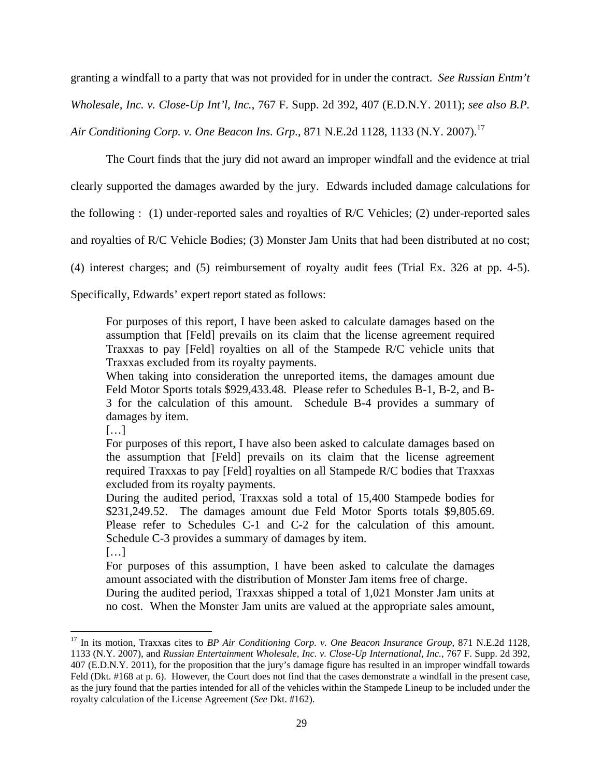granting a windfall to a party that was not provided for in under the contract. *See Russian Entm't Wholesale, Inc. v. Close-Up Int'l, Inc.*, 767 F. Supp. 2d 392, 407 (E.D.N.Y. 2011); *see also B.P. Air Conditioning Corp. v. One Beacon Ins. Grp., 871 N.E.2d 1128, 1133 (N.Y. 2007).*<sup>17</sup>

The Court finds that the jury did not award an improper windfall and the evidence at trial

clearly supported the damages awarded by the jury. Edwards included damage calculations for

the following : (1) under-reported sales and royalties of R/C Vehicles; (2) under-reported sales

and royalties of R/C Vehicle Bodies; (3) Monster Jam Units that had been distributed at no cost;

(4) interest charges; and (5) reimbursement of royalty audit fees (Trial Ex. 326 at pp. 4-5).

Specifically, Edwards' expert report stated as follows:

For purposes of this report, I have been asked to calculate damages based on the assumption that [Feld] prevails on its claim that the license agreement required Traxxas to pay [Feld] royalties on all of the Stampede R/C vehicle units that Traxxas excluded from its royalty payments.

When taking into consideration the unreported items, the damages amount due Feld Motor Sports totals \$929,433.48. Please refer to Schedules B-1, B-2, and B-3 for the calculation of this amount. Schedule B-4 provides a summary of damages by item.

[…]

For purposes of this report, I have also been asked to calculate damages based on the assumption that [Feld] prevails on its claim that the license agreement required Traxxas to pay [Feld] royalties on all Stampede R/C bodies that Traxxas excluded from its royalty payments.

During the audited period, Traxxas sold a total of 15,400 Stampede bodies for \$231,249.52. The damages amount due Feld Motor Sports totals \$9,805.69. Please refer to Schedules C-1 and C-2 for the calculation of this amount. Schedule C-3 provides a summary of damages by item.

[…]

For purposes of this assumption, I have been asked to calculate the damages amount associated with the distribution of Monster Jam items free of charge.

During the audited period, Traxxas shipped a total of 1,021 Monster Jam units at no cost. When the Monster Jam units are valued at the appropriate sales amount,

<sup>&</sup>lt;sup>17</sup> In its motion, Traxxas cites to *BP Air Conditioning Corp. v. One Beacon Insurance Group*, 871 N.E.2d 1128, 1133 (N.Y. 2007), and *Russian Entertainment Wholesale, Inc. v. Close-Up International, Inc.*, 767 F. Supp. 2d 392, 407 (E.D.N.Y. 2011), for the proposition that the jury's damage figure has resulted in an improper windfall towards Feld (Dkt. #168 at p. 6). However, the Court does not find that the cases demonstrate a windfall in the present case, as the jury found that the parties intended for all of the vehicles within the Stampede Lineup to be included under the royalty calculation of the License Agreement (*See* Dkt. #162).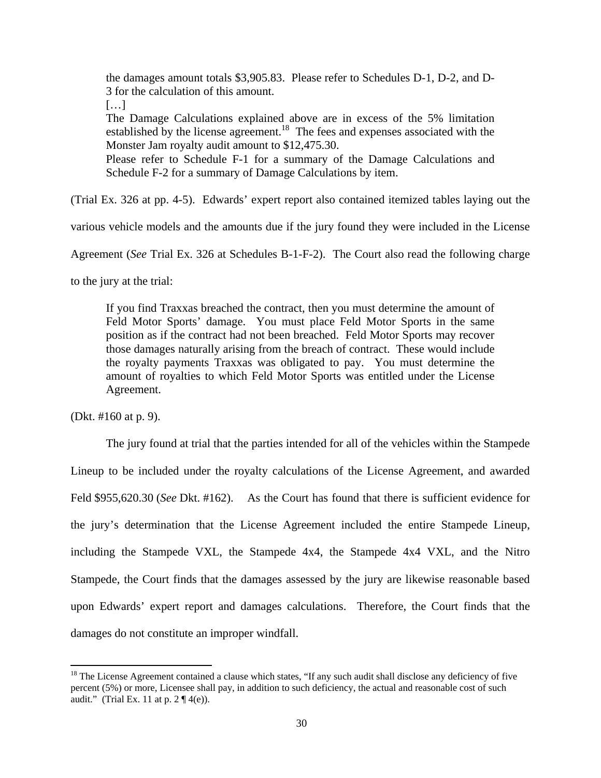the damages amount totals \$3,905.83. Please refer to Schedules D-1, D-2, and D-3 for the calculation of this amount.

[…]

The Damage Calculations explained above are in excess of the 5% limitation established by the license agreement.<sup>18</sup> The fees and expenses associated with the Monster Jam royalty audit amount to \$12,475.30.

Please refer to Schedule F-1 for a summary of the Damage Calculations and Schedule F-2 for a summary of Damage Calculations by item.

(Trial Ex. 326 at pp. 4-5). Edwards' expert report also contained itemized tables laying out the

various vehicle models and the amounts due if the jury found they were included in the License

Agreement (*See* Trial Ex. 326 at Schedules B-1-F-2). The Court also read the following charge

to the jury at the trial:

If you find Traxxas breached the contract, then you must determine the amount of Feld Motor Sports' damage. You must place Feld Motor Sports in the same position as if the contract had not been breached. Feld Motor Sports may recover those damages naturally arising from the breach of contract. These would include the royalty payments Traxxas was obligated to pay. You must determine the amount of royalties to which Feld Motor Sports was entitled under the License Agreement.

(Dkt. #160 at p. 9).

The jury found at trial that the parties intended for all of the vehicles within the Stampede Lineup to be included under the royalty calculations of the License Agreement, and awarded Feld \$955,620.30 (*See* Dkt. #162). As the Court has found that there is sufficient evidence for the jury's determination that the License Agreement included the entire Stampede Lineup, including the Stampede VXL, the Stampede 4x4, the Stampede 4x4 VXL, and the Nitro Stampede, the Court finds that the damages assessed by the jury are likewise reasonable based upon Edwards' expert report and damages calculations. Therefore, the Court finds that the damages do not constitute an improper windfall.

 $18$  The License Agreement contained a clause which states, "If any such audit shall disclose any deficiency of five percent (5%) or more, Licensee shall pay, in addition to such deficiency, the actual and reasonable cost of such audit." (Trial Ex. 11 at p.  $2 \mathcal{I} (4(e))$ .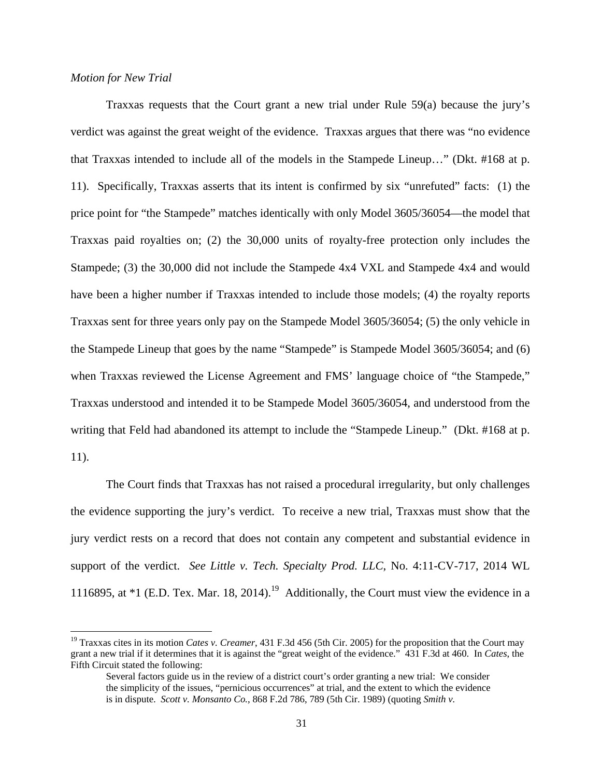## *Motion for New Trial*

 Traxxas requests that the Court grant a new trial under Rule 59(a) because the jury's verdict was against the great weight of the evidence. Traxxas argues that there was "no evidence that Traxxas intended to include all of the models in the Stampede Lineup…" (Dkt. #168 at p. 11). Specifically, Traxxas asserts that its intent is confirmed by six "unrefuted" facts: (1) the price point for "the Stampede" matches identically with only Model 3605/36054—the model that Traxxas paid royalties on; (2) the 30,000 units of royalty-free protection only includes the Stampede; (3) the 30,000 did not include the Stampede 4x4 VXL and Stampede 4x4 and would have been a higher number if Traxxas intended to include those models; (4) the royalty reports Traxxas sent for three years only pay on the Stampede Model 3605/36054; (5) the only vehicle in the Stampede Lineup that goes by the name "Stampede" is Stampede Model 3605/36054; and (6) when Traxxas reviewed the License Agreement and FMS' language choice of "the Stampede," Traxxas understood and intended it to be Stampede Model 3605/36054, and understood from the writing that Feld had abandoned its attempt to include the "Stampede Lineup." (Dkt. #168 at p. 11).

 The Court finds that Traxxas has not raised a procedural irregularity, but only challenges the evidence supporting the jury's verdict. To receive a new trial, Traxxas must show that the jury verdict rests on a record that does not contain any competent and substantial evidence in support of the verdict. *See Little v. Tech. Specialty Prod. LLC*, No. 4:11-CV-717, 2014 WL 1116895, at  $*1$  (E.D. Tex. Mar. 18, 2014).<sup>19</sup> Additionally, the Court must view the evidence in a

<sup>&</sup>lt;sup>19</sup> Traxxas cites in its motion *Cates v. Creamer*, 431 F.3d 456 (5th Cir. 2005) for the proposition that the Court may grant a new trial if it determines that it is against the "great weight of the evidence." 431 F.3d at 460. In *Cates*, the Fifth Circuit stated the following:

Several factors guide us in the review of a district court's order granting a new trial: We consider the simplicity of the issues, "pernicious occurrences" at trial, and the extent to which the evidence is in dispute. *Scott v. Monsanto Co.*, 868 F.2d 786, 789 (5th Cir. 1989) (quoting *Smith v.*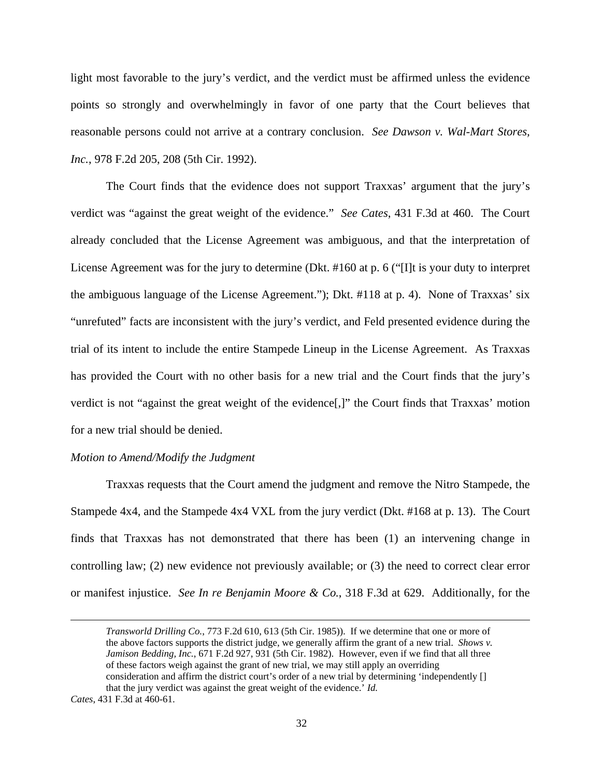light most favorable to the jury's verdict, and the verdict must be affirmed unless the evidence points so strongly and overwhelmingly in favor of one party that the Court believes that reasonable persons could not arrive at a contrary conclusion. *See Dawson v. Wal-Mart Stores, Inc.*, 978 F.2d 205, 208 (5th Cir. 1992).

The Court finds that the evidence does not support Traxxas' argument that the jury's verdict was "against the great weight of the evidence." *See Cates*, 431 F.3d at 460. The Court already concluded that the License Agreement was ambiguous, and that the interpretation of License Agreement was for the jury to determine (Dkt. #160 at p. 6 ("[I]t is your duty to interpret the ambiguous language of the License Agreement."); Dkt. #118 at p. 4). None of Traxxas' six "unrefuted" facts are inconsistent with the jury's verdict, and Feld presented evidence during the trial of its intent to include the entire Stampede Lineup in the License Agreement. As Traxxas has provided the Court with no other basis for a new trial and the Court finds that the jury's verdict is not "against the great weight of the evidence[,]" the Court finds that Traxxas' motion for a new trial should be denied.

#### *Motion to Amend/Modify the Judgment*

 Traxxas requests that the Court amend the judgment and remove the Nitro Stampede, the Stampede 4x4, and the Stampede 4x4 VXL from the jury verdict (Dkt. #168 at p. 13). The Court finds that Traxxas has not demonstrated that there has been (1) an intervening change in controlling law; (2) new evidence not previously available; or (3) the need to correct clear error or manifest injustice. *See In re Benjamin Moore & Co.*, 318 F.3d at 629. Additionally, for the

<u> 1989 - Jan Sarajević, politički predsjednik i politički predsjednik i politički politički politički političk</u>

*Transworld Drilling Co.*, 773 F.2d 610, 613 (5th Cir. 1985)). If we determine that one or more of the above factors supports the district judge, we generally affirm the grant of a new trial. *Shows v. Jamison Bedding, Inc.*, 671 F.2d 927, 931 (5th Cir. 1982). However, even if we find that all three of these factors weigh against the grant of new trial, we may still apply an overriding consideration and affirm the district court's order of a new trial by determining 'independently [] that the jury verdict was against the great weight of the evidence.' *Id.*

*Cates*, 431 F.3d at 460-61.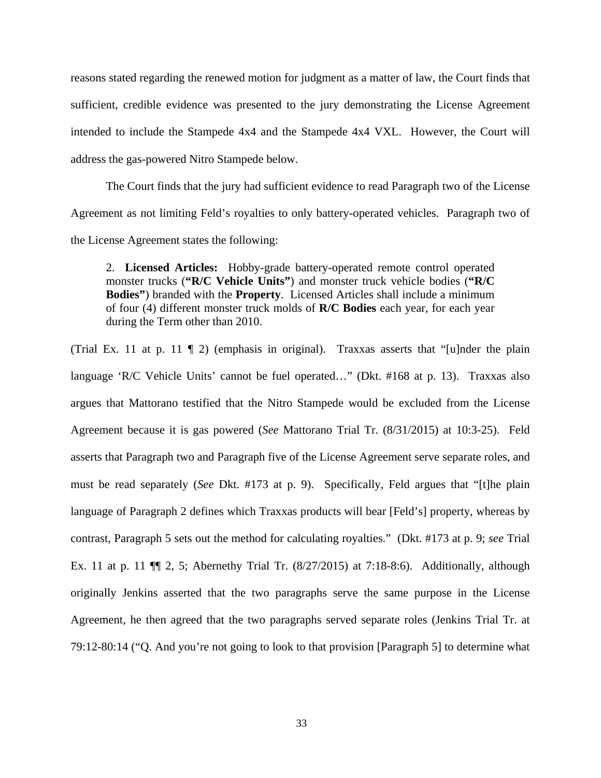reasons stated regarding the renewed motion for judgment as a matter of law, the Court finds that sufficient, credible evidence was presented to the jury demonstrating the License Agreement intended to include the Stampede 4x4 and the Stampede 4x4 VXL. However, the Court will address the gas-powered Nitro Stampede below.

The Court finds that the jury had sufficient evidence to read Paragraph two of the License Agreement as not limiting Feld's royalties to only battery-operated vehicles. Paragraph two of the License Agreement states the following:

2. **Licensed Articles:** Hobby-grade battery-operated remote control operated monster trucks (**"R/C Vehicle Units"**) and monster truck vehicle bodies (**"R/C Bodies"**) branded with the **Property**. Licensed Articles shall include a minimum of four (4) different monster truck molds of **R/C Bodies** each year, for each year during the Term other than 2010.

(Trial Ex. 11 at p. 11 ¶ 2) (emphasis in original). Traxxas asserts that "[u]nder the plain language 'R/C Vehicle Units' cannot be fuel operated…" (Dkt. #168 at p. 13). Traxxas also argues that Mattorano testified that the Nitro Stampede would be excluded from the License Agreement because it is gas powered (*See* Mattorano Trial Tr. (8/31/2015) at 10:3-25). Feld asserts that Paragraph two and Paragraph five of the License Agreement serve separate roles, and must be read separately (*See* Dkt. #173 at p. 9). Specifically, Feld argues that "[t]he plain language of Paragraph 2 defines which Traxxas products will bear [Feld's] property, whereas by contrast, Paragraph 5 sets out the method for calculating royalties." (Dkt. #173 at p. 9; *see* Trial Ex. 11 at p. 11 ¶¶ 2, 5; Abernethy Trial Tr. (8/27/2015) at 7:18-8:6). Additionally, although originally Jenkins asserted that the two paragraphs serve the same purpose in the License Agreement, he then agreed that the two paragraphs served separate roles (Jenkins Trial Tr. at 79:12-80:14 ("Q. And you're not going to look to that provision [Paragraph 5] to determine what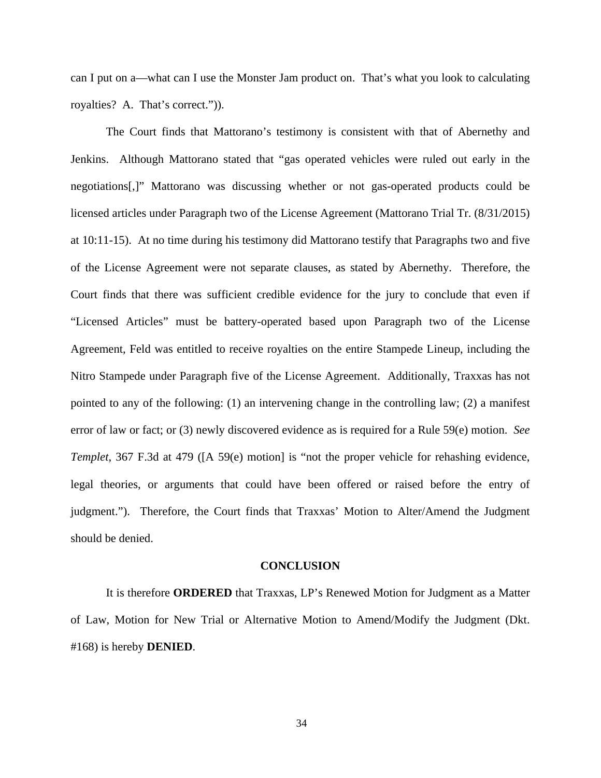can I put on a—what can I use the Monster Jam product on. That's what you look to calculating royalties? A. That's correct.")).

 The Court finds that Mattorano's testimony is consistent with that of Abernethy and Jenkins. Although Mattorano stated that "gas operated vehicles were ruled out early in the negotiations[,]" Mattorano was discussing whether or not gas-operated products could be licensed articles under Paragraph two of the License Agreement (Mattorano Trial Tr. (8/31/2015) at 10:11-15). At no time during his testimony did Mattorano testify that Paragraphs two and five of the License Agreement were not separate clauses, as stated by Abernethy. Therefore, the Court finds that there was sufficient credible evidence for the jury to conclude that even if "Licensed Articles" must be battery-operated based upon Paragraph two of the License Agreement, Feld was entitled to receive royalties on the entire Stampede Lineup, including the Nitro Stampede under Paragraph five of the License Agreement. Additionally, Traxxas has not pointed to any of the following: (1) an intervening change in the controlling law; (2) a manifest error of law or fact; or (3) newly discovered evidence as is required for a Rule 59(e) motion. *See Templet*, 367 F.3d at 479 ([A 59(e) motion] is "not the proper vehicle for rehashing evidence, legal theories, or arguments that could have been offered or raised before the entry of judgment."). Therefore, the Court finds that Traxxas' Motion to Alter/Amend the Judgment should be denied.

#### **CONCLUSION**

It is therefore **ORDERED** that Traxxas, LP's Renewed Motion for Judgment as a Matter of Law, Motion for New Trial or Alternative Motion to Amend/Modify the Judgment (Dkt. #168) is hereby **DENIED**.